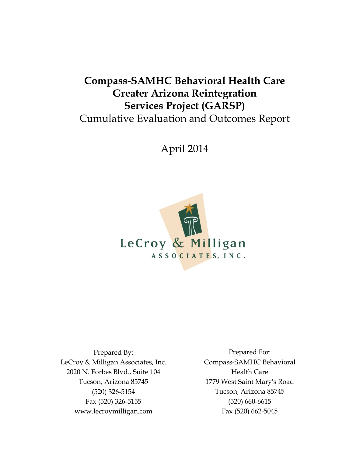# **Compass-SAMHC Behavioral Health Care Greater Arizona Reintegration Services Project (GARSP)** Cumulative Evaluation and Outcomes Report

April 2014



Prepared By: LeCroy & Milligan Associates, Inc. 2020 N. Forbes Blvd., Suite 104 Tucson, Arizona 85745 (520) 326-5154 Fax (520) 326-5155 www.lecroymilligan.com

Prepared For: Compass-SAMHC Behavioral Health Care 1779 West Saint Mary's Road Tucson, Arizona 85745 (520) 660-6615 Fax (520) 662-5045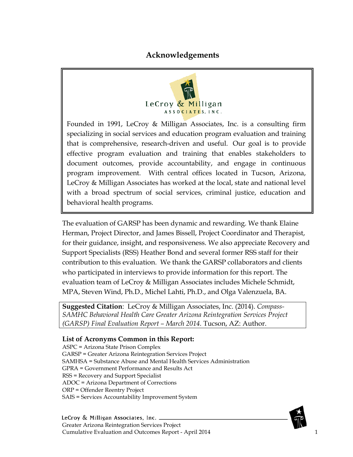#### **Acknowledgements**



<span id="page-1-0"></span>Founded in 1991, LeCroy & Milligan Associates, Inc. is a consulting firm specializing in social services and education program evaluation and training that is comprehensive, research-driven and useful. Our goal is to provide effective program evaluation and training that enables stakeholders to document outcomes, provide accountability, and engage in continuous program improvement. With central offices located in Tucson, Arizona, LeCroy & Milligan Associates has worked at the local, state and national level with a broad spectrum of social services, criminal justice, education and behavioral health programs.

The evaluation of GARSP has been dynamic and rewarding. We thank Elaine Herman, Project Director, and James Bissell, Project Coordinator and Therapist, for their guidance, insight, and responsiveness. We also appreciate Recovery and Support Specialists (RSS) Heather Bond and several former RSS staff for their contribution to this evaluation. We thank the GARSP collaborators and clients who participated in interviews to provide information for this report. The evaluation team of LeCroy & Milligan Associates includes Michele Schmidt, MPA, Steven Wind, Ph.D., Michel Lahti, Ph.D., and Olga Valenzuela, BA.

**Suggested Citation**: LeCroy & Milligan Associates, Inc. (2014). *Compass-SAMHC Behavioral Health Care Greater Arizona Reintegration Services Project (GARSP) Final Evaluation Report – March 2014.* Tucson, AZ: Author.

#### **List of Acronyms Common in this Report:**

ASPC = Arizona State Prison Complex GARSP = Greater Arizona Reintegration Services Project SAMHSA = Substance Abuse and Mental Health Services Administration GPRA = Government Performance and Results Act RSS = Recovery and Support Specialist ADOC = Arizona Department of Corrections ORP = Offender Reentry Project SAIS = Services Accountability Improvement System

LeCroy & Milligan Associates, Inc. \_ Greater Arizona Reintegration Services Project Cumulative Evaluation and Outcomes Report - April 2014 1

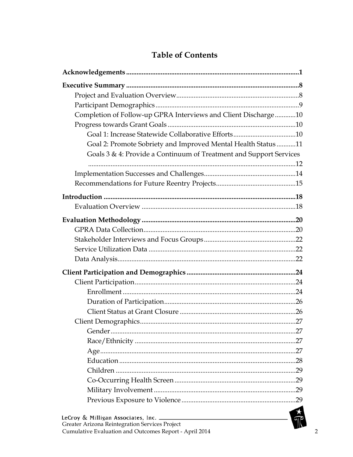### **Table of Contents**

| Completion of Follow-up GPRA Interviews and Client Discharge10     |  |
|--------------------------------------------------------------------|--|
|                                                                    |  |
|                                                                    |  |
| Goal 2: Promote Sobriety and Improved Mental Health Status 11      |  |
| Goals 3 & 4: Provide a Continuum of Treatment and Support Services |  |
|                                                                    |  |
|                                                                    |  |
|                                                                    |  |
|                                                                    |  |
|                                                                    |  |
|                                                                    |  |
|                                                                    |  |
|                                                                    |  |
|                                                                    |  |
|                                                                    |  |
|                                                                    |  |
|                                                                    |  |
|                                                                    |  |
|                                                                    |  |
|                                                                    |  |
|                                                                    |  |
|                                                                    |  |
|                                                                    |  |
|                                                                    |  |
|                                                                    |  |
|                                                                    |  |
|                                                                    |  |
|                                                                    |  |
|                                                                    |  |
|                                                                    |  |
| Greater Arizona Reintegration Services Project                     |  |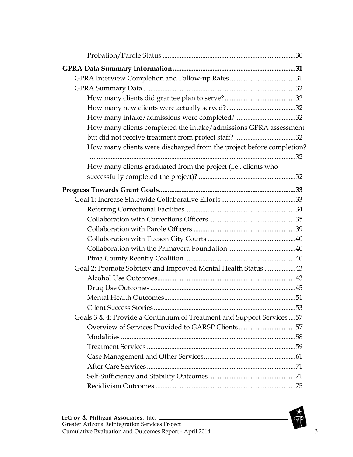| How many clients completed the intake/admissions GPRA assessment       |  |
|------------------------------------------------------------------------|--|
| but did not receive treatment from project staff? 32                   |  |
| How many clients were discharged from the project before completion?   |  |
|                                                                        |  |
| How many clients graduated from the project (i.e., clients who         |  |
|                                                                        |  |
|                                                                        |  |
|                                                                        |  |
|                                                                        |  |
|                                                                        |  |
|                                                                        |  |
|                                                                        |  |
|                                                                        |  |
|                                                                        |  |
| Goal 2: Promote Sobriety and Improved Mental Health Status 43          |  |
|                                                                        |  |
|                                                                        |  |
|                                                                        |  |
|                                                                        |  |
| Goals 3 & 4: Provide a Continuum of Treatment and Support Services  57 |  |
| Overview of Services Provided to GARSP Clients57                       |  |
|                                                                        |  |
|                                                                        |  |
|                                                                        |  |
|                                                                        |  |
|                                                                        |  |
|                                                                        |  |

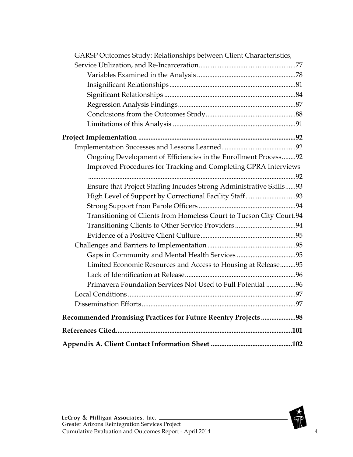| GARSP Outcomes Study: Relationships between Client Characteristics,  |  |
|----------------------------------------------------------------------|--|
|                                                                      |  |
|                                                                      |  |
|                                                                      |  |
|                                                                      |  |
|                                                                      |  |
|                                                                      |  |
|                                                                      |  |
|                                                                      |  |
|                                                                      |  |
| Ongoing Development of Efficiencies in the Enrollment Process92      |  |
| Improved Procedures for Tracking and Completing GPRA Interviews      |  |
|                                                                      |  |
| Ensure that Project Staffing Incudes Strong Administrative Skills93  |  |
|                                                                      |  |
|                                                                      |  |
| Transitioning of Clients from Homeless Court to Tucson City Court.94 |  |
|                                                                      |  |
|                                                                      |  |
|                                                                      |  |
|                                                                      |  |
| Limited Economic Resources and Access to Housing at Release95        |  |
|                                                                      |  |
| Primavera Foundation Services Not Used to Full Potential 96          |  |
|                                                                      |  |
|                                                                      |  |
| Recommended Promising Practices for Future Reentry Projects 98       |  |
|                                                                      |  |
|                                                                      |  |

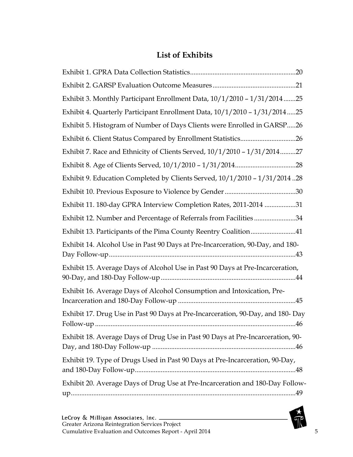### **List of Exhibits**

| Exhibit 3. Monthly Participant Enrollment Data, 10/1/2010 - 1/31/201425         |
|---------------------------------------------------------------------------------|
| Exhibit 4. Quarterly Participant Enrollment Data, 10/1/2010 - 1/31/201425       |
| Exhibit 5. Histogram of Number of Days Clients were Enrolled in GARSP26         |
| Exhibit 6. Client Status Compared by Enrollment Statistics26                    |
| Exhibit 7. Race and Ethnicity of Clients Served, 10/1/2010 - 1/31/201427        |
|                                                                                 |
| Exhibit 9. Education Completed by Clients Served, $10/1/2010 - 1/31/2014$ 28    |
|                                                                                 |
| Exhibit 11. 180-day GPRA Interview Completion Rates, 2011-2014 31               |
| Exhibit 12. Number and Percentage of Referrals from Facilities34                |
| Exhibit 13. Participants of the Pima County Reentry Coalition41                 |
| Exhibit 14. Alcohol Use in Past 90 Days at Pre-Incarceration, 90-Day, and 180-  |
| Exhibit 15. Average Days of Alcohol Use in Past 90 Days at Pre-Incarceration,   |
| Exhibit 16. Average Days of Alcohol Consumption and Intoxication, Pre-          |
| Exhibit 17. Drug Use in Past 90 Days at Pre-Incarceration, 90-Day, and 180- Day |
| Exhibit 18. Average Days of Drug Use in Past 90 Days at Pre-Incarceration, 90-  |
| Exhibit 19. Type of Drugs Used in Past 90 Days at Pre-Incarceration, 90-Day,    |
| Exhibit 20. Average Days of Drug Use at Pre-Incarceration and 180-Day Follow-   |

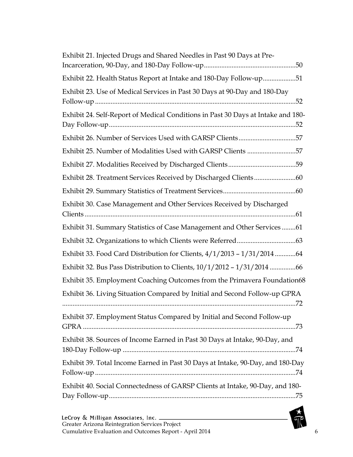| Exhibit 21. Injected Drugs and Shared Needles in Past 90 Days at Pre-            |
|----------------------------------------------------------------------------------|
| Exhibit 22. Health Status Report at Intake and 180-Day Follow-up51               |
| Exhibit 23. Use of Medical Services in Past 30 Days at 90-Day and 180-Day        |
| Exhibit 24. Self-Report of Medical Conditions in Past 30 Days at Intake and 180- |
| Exhibit 26. Number of Services Used with GARSP Clients57                         |
| Exhibit 25. Number of Modalities Used with GARSP Clients 57                      |
| Exhibit 27. Modalities Received by Discharged Clients59                          |
|                                                                                  |
|                                                                                  |
| Exhibit 30. Case Management and Other Services Received by Discharged            |
| Exhibit 31. Summary Statistics of Case Management and Other Services61           |
|                                                                                  |
| Exhibit 33. Food Card Distribution for Clients, 4/1/2013 - 1/31/201464           |
| Exhibit 32. Bus Pass Distribution to Clients, 10/1/2012 - 1/31/2014 66           |
| Exhibit 35. Employment Coaching Outcomes from the Primavera Foundation68         |
| Exhibit 36. Living Situation Compared by Initial and Second Follow-up GPRA       |
| Exhibit 37. Employment Status Compared by Initial and Second Follow-up           |
| Exhibit 38. Sources of Income Earned in Past 30 Days at Intake, 90-Day, and      |
| Exhibit 39. Total Income Earned in Past 30 Days at Intake, 90-Day, and 180-Day   |
| Exhibit 40. Social Connectedness of GARSP Clients at Intake, 90-Day, and 180-    |

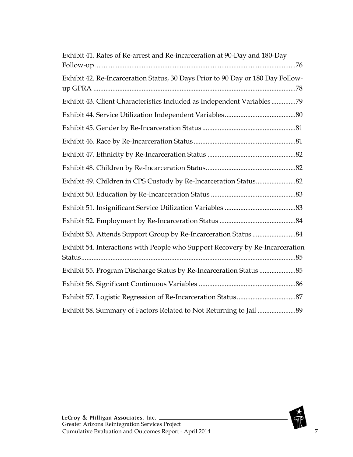| Exhibit 41. Rates of Re-arrest and Re-incarceration at 90-Day and 180-Day       |
|---------------------------------------------------------------------------------|
| Exhibit 42. Re-Incarceration Status, 30 Days Prior to 90 Day or 180 Day Follow- |
| Exhibit 43. Client Characteristics Included as Independent Variables 79         |
|                                                                                 |
|                                                                                 |
|                                                                                 |
|                                                                                 |
|                                                                                 |
|                                                                                 |
|                                                                                 |
|                                                                                 |
|                                                                                 |
|                                                                                 |
| Exhibit 54. Interactions with People who Support Recovery by Re-Incarceration   |
| Exhibit 55. Program Discharge Status by Re-Incarceration Status 85              |
|                                                                                 |
|                                                                                 |
|                                                                                 |

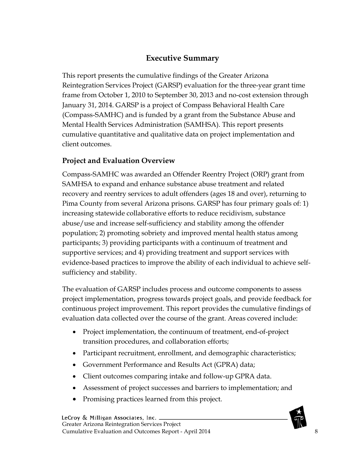### **Executive Summary**

<span id="page-8-0"></span>This report presents the cumulative findings of the Greater Arizona Reintegration Services Project (GARSP) evaluation for the three-year grant time frame from October 1, 2010 to September 30, 2013 and no-cost extension through January 31, 2014. GARSP is a project of Compass Behavioral Health Care (Compass-SAMHC) and is funded by a grant from the Substance Abuse and Mental Health Services Administration (SAMHSA). This report presents cumulative quantitative and qualitative data on project implementation and client outcomes.

#### <span id="page-8-1"></span>**Project and Evaluation Overview**

Compass-SAMHC was awarded an Offender Reentry Project (ORP) grant from SAMHSA to expand and enhance substance abuse treatment and related recovery and reentry services to adult offenders (ages 18 and over), returning to Pima County from several Arizona prisons. GARSP has four primary goals of: 1) increasing statewide collaborative efforts to reduce recidivism, substance abuse/use and increase self-sufficiency and stability among the offender population; 2) promoting sobriety and improved mental health status among participants; 3) providing participants with a continuum of treatment and supportive services; and 4) providing treatment and support services with evidence-based practices to improve the ability of each individual to achieve selfsufficiency and stability.

The evaluation of GARSP includes process and outcome components to assess project implementation, progress towards project goals, and provide feedback for continuous project improvement. This report provides the cumulative findings of evaluation data collected over the course of the grant. Areas covered include:

- Project implementation, the continuum of treatment, end-of-project transition procedures, and collaboration efforts;
- Participant recruitment, enrollment, and demographic characteristics;
- Government Performance and Results Act (GPRA) data;
- Client outcomes comparing intake and follow-up GPRA data.
- Assessment of project successes and barriers to implementation; and
- Promising practices learned from this project.

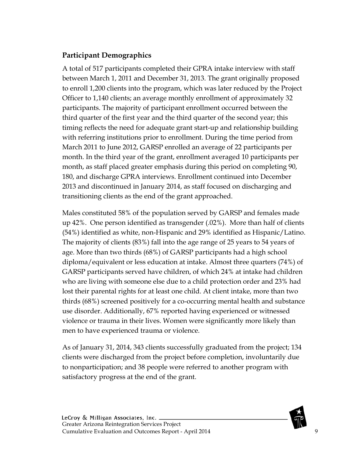#### <span id="page-9-0"></span>**Participant Demographics**

A total of 517 participants completed their GPRA intake interview with staff between March 1, 2011 and December 31, 2013. The grant originally proposed to enroll 1,200 clients into the program, which was later reduced by the Project Officer to 1,140 clients; an average monthly enrollment of approximately 32 participants. The majority of participant enrollment occurred between the third quarter of the first year and the third quarter of the second year; this timing reflects the need for adequate grant start-up and relationship building with referring institutions prior to enrollment. During the time period from March 2011 to June 2012, GARSP enrolled an average of 22 participants per month. In the third year of the grant, enrollment averaged 10 participants per month, as staff placed greater emphasis during this period on completing 90, 180, and discharge GPRA interviews. Enrollment continued into December 2013 and discontinued in January 2014, as staff focused on discharging and transitioning clients as the end of the grant approached.

Males constituted 58% of the population served by GARSP and females made up 42%. One person identified as transgender (.02%). More than half of clients (54%) identified as white, non-Hispanic and 29% identified as Hispanic/Latino. The majority of clients (83%) fall into the age range of 25 years to 54 years of age. More than two thirds (68%) of GARSP participants had a high school diploma/equivalent or less education at intake. Almost three quarters (74%) of GARSP participants served have children, of which 24% at intake had children who are living with someone else due to a child protection order and 23% had lost their parental rights for at least one child. At client intake, more than two thirds (68%) screened positively for a co-occurring mental health and substance use disorder. Additionally, 67% reported having experienced or witnessed violence or trauma in their lives. Women were significantly more likely than men to have experienced trauma or violence.

As of January 31, 2014, 343 clients successfully graduated from the project; 134 clients were discharged from the project before completion, involuntarily due to nonparticipation; and 38 people were referred to another program with satisfactory progress at the end of the grant.

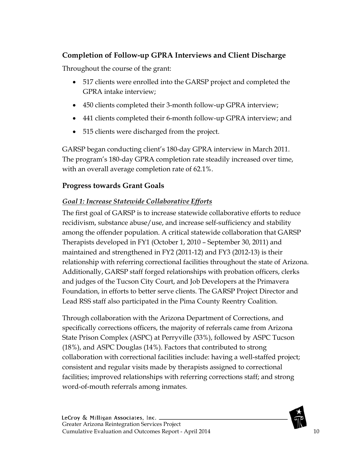### <span id="page-10-0"></span>**Completion of Follow-up GPRA Interviews and Client Discharge**

Throughout the course of the grant:

- 517 clients were enrolled into the GARSP project and completed the GPRA intake interview;
- 450 clients completed their 3-month follow-up GPRA interview;
- 441 clients completed their 6-month follow-up GPRA interview; and
- 515 clients were discharged from the project.

GARSP began conducting client's 180-day GPRA interview in March 2011. The program's 180-day GPRA completion rate steadily increased over time, with an overall average completion rate of 62.1%.

### <span id="page-10-1"></span>**Progress towards Grant Goals**

### <span id="page-10-2"></span>*Goal 1: Increase Statewide Collaborative Efforts*

The first goal of GARSP is to increase statewide collaborative efforts to reduce recidivism, substance abuse/use, and increase self-sufficiency and stability among the offender population. A critical statewide collaboration that GARSP Therapists developed in FY1 (October 1, 2010 – September 30, 2011) and maintained and strengthened in FY2 (2011-12) and FY3 (2012-13) is their relationship with referring correctional facilities throughout the state of Arizona. Additionally, GARSP staff forged relationships with probation officers, clerks and judges of the Tucson City Court, and Job Developers at the Primavera Foundation, in efforts to better serve clients. The GARSP Project Director and Lead RSS staff also participated in the Pima County Reentry Coalition.

Through collaboration with the Arizona Department of Corrections, and specifically corrections officers, the majority of referrals came from Arizona State Prison Complex (ASPC) at Perryville (33%), followed by ASPC Tucson (18%), and ASPC Douglas (14%). Factors that contributed to strong collaboration with correctional facilities include: having a well-staffed project; consistent and regular visits made by therapists assigned to correctional facilities; improved relationships with referring corrections staff; and strong word-of-mouth referrals among inmates.

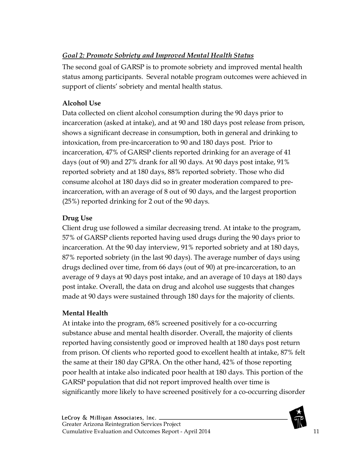### <span id="page-11-0"></span>*Goal 2: Promote Sobriety and Improved Mental Health Status*

The second goal of GARSP is to promote sobriety and improved mental health status among participants. Several notable program outcomes were achieved in support of clients' sobriety and mental health status.

### **Alcohol Use**

Data collected on client alcohol consumption during the 90 days prior to incarceration (asked at intake), and at 90 and 180 days post release from prison, shows a significant decrease in consumption, both in general and drinking to intoxication, from pre-incarceration to 90 and 180 days post. Prior to incarceration, 47% of GARSP clients reported drinking for an average of 41 days (out of 90) and 27% drank for all 90 days. At 90 days post intake, 91% reported sobriety and at 180 days, 88% reported sobriety. Those who did consume alcohol at 180 days did so in greater moderation compared to preincarceration, with an average of 8 out of 90 days, and the largest proportion (25%) reported drinking for 2 out of the 90 days.

### **Drug Use**

Client drug use followed a similar decreasing trend. At intake to the program, 57% of GARSP clients reported having used drugs during the 90 days prior to incarceration. At the 90 day interview, 91% reported sobriety and at 180 days, 87% reported sobriety (in the last 90 days). The average number of days using drugs declined over time, from 66 days (out of 90) at pre-incarceration, to an average of 9 days at 90 days post intake, and an average of 10 days at 180 days post intake. Overall, the data on drug and alcohol use suggests that changes made at 90 days were sustained through 180 days for the majority of clients.

### **Mental Health**

At intake into the program, 68% screened positively for a co-occurring substance abuse and mental health disorder. Overall, the majority of clients reported having consistently good or improved health at 180 days post return from prison. Of clients who reported good to excellent health at intake, 87% felt the same at their 180 day GPRA. On the other hand, 42% of those reporting poor health at intake also indicated poor health at 180 days. This portion of the GARSP population that did not report improved health over time is significantly more likely to have screened positively for a co-occurring disorder

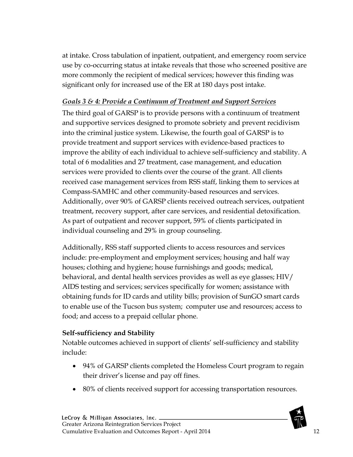at intake. Cross tabulation of inpatient, outpatient, and emergency room service use by co-occurring status at intake reveals that those who screened positive are more commonly the recipient of medical services; however this finding was significant only for increased use of the ER at 180 days post intake.

#### <span id="page-12-0"></span>*Goals 3 & 4: Provide a Continuum of Treatment and Support Services*

The third goal of GARSP is to provide persons with a continuum of treatment and supportive services designed to promote sobriety and prevent recidivism into the criminal justice system. Likewise, the fourth goal of GARSP is to provide treatment and support services with evidence-based practices to improve the ability of each individual to achieve self-sufficiency and stability. A total of 6 modalities and 27 treatment, case management, and education services were provided to clients over the course of the grant. All clients received case management services from RSS staff, linking them to services at Compass-SAMHC and other community-based resources and services. Additionally, over 90% of GARSP clients received outreach services, outpatient treatment, recovery support, after care services, and residential detoxification. As part of outpatient and recover support, 59% of clients participated in individual counseling and 29% in group counseling.

Additionally, RSS staff supported clients to access resources and services include: pre-employment and employment services; housing and half way houses; clothing and hygiene; house furnishings and goods; medical, behavioral, and dental health services provides as well as eye glasses; HIV/ AIDS testing and services; services specifically for women; assistance with obtaining funds for ID cards and utility bills; provision of SunGO smart cards to enable use of the Tucson bus system; computer use and resources; access to food; and access to a prepaid cellular phone.

#### **Self-sufficiency and Stability**

Notable outcomes achieved in support of clients' self-sufficiency and stability include:

- 94% of GARSP clients completed the Homeless Court program to regain their driver's license and pay off fines.
- 80% of clients received support for accessing transportation resources.

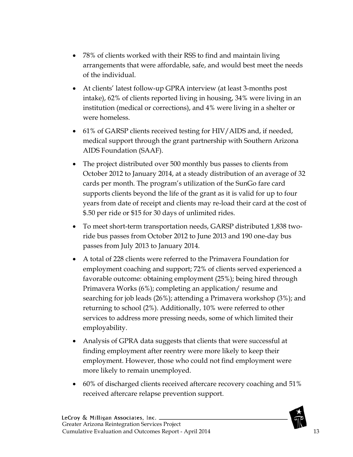- 78% of clients worked with their RSS to find and maintain living arrangements that were affordable, safe, and would best meet the needs of the individual.
- At clients' latest follow-up GPRA interview (at least 3-months post intake), 62% of clients reported living in housing, 34% were living in an institution (medical or corrections), and 4% were living in a shelter or were homeless.
- 61% of GARSP clients received testing for HIV/AIDS and, if needed, medical support through the grant partnership with Southern Arizona AIDS Foundation (SAAF).
- The project distributed over 500 monthly bus passes to clients from October 2012 to January 2014, at a steady distribution of an average of 32 cards per month. The program's utilization of the SunGo fare card supports clients beyond the life of the grant as it is valid for up to four years from date of receipt and clients may re-load their card at the cost of \$.50 per ride or \$15 for 30 days of unlimited rides.
- To meet short-term transportation needs, GARSP distributed 1,838 tworide bus passes from October 2012 to June 2013 and 190 one-day bus passes from July 2013 to January 2014.
- A total of 228 clients were referred to the Primavera Foundation for employment coaching and support; 72% of clients served experienced a favorable outcome: obtaining employment (25%); being hired through Primavera Works (6%); completing an application/ resume and searching for job leads (26%); attending a Primavera workshop (3%); and returning to school (2%). Additionally, 10% were referred to other services to address more pressing needs, some of which limited their employability.
- Analysis of GPRA data suggests that clients that were successful at finding employment after reentry were more likely to keep their employment. However, those who could not find employment were more likely to remain unemployed.
- 60% of discharged clients received aftercare recovery coaching and 51% received aftercare relapse prevention support.

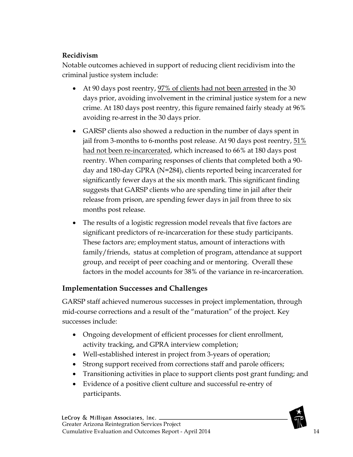#### **Recidivism**

Notable outcomes achieved in support of reducing client recidivism into the criminal justice system include:

- At 90 days post reentry, 97% of clients had not been arrested in the 30 days prior, avoiding involvement in the criminal justice system for a new crime. At 180 days post reentry, this figure remained fairly steady at 96% avoiding re-arrest in the 30 days prior.
- GARSP clients also showed a reduction in the number of days spent in jail from 3-months to 6-months post release. At 90 days post reentry,  $51\%$ had not been re-incarcerated, which increased to 66% at 180 days post reentry. When comparing responses of clients that completed both a 90 day and 180-day GPRA (N=284), clients reported being incarcerated for significantly fewer days at the six month mark. This significant finding suggests that GARSP clients who are spending time in jail after their release from prison, are spending fewer days in jail from three to six months post release.
- The results of a logistic regression model reveals that five factors are significant predictors of re-incarceration for these study participants. These factors are; employment status, amount of interactions with family/friends, status at completion of program, attendance at support group, and receipt of peer coaching and or mentoring. Overall these factors in the model accounts for 38% of the variance in re-incarceration.

#### <span id="page-14-0"></span>**Implementation Successes and Challenges**

GARSP staff achieved numerous successes in project implementation, through mid-course corrections and a result of the "maturation" of the project. Key successes include:

- Ongoing development of efficient processes for client enrollment, activity tracking, and GPRA interview completion;
- Well-established interest in project from 3-years of operation;
- Strong support received from corrections staff and parole officers;
- Transitioning activities in place to support clients post grant funding; and
- Evidence of a positive client culture and successful re-entry of participants.

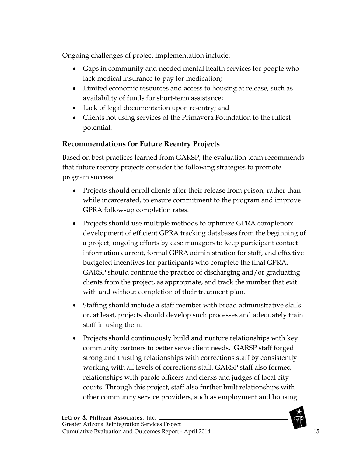Ongoing challenges of project implementation include:

- Gaps in community and needed mental health services for people who lack medical insurance to pay for medication;
- Limited economic resources and access to housing at release, such as availability of funds for short-term assistance;
- Lack of legal documentation upon re-entry; and
- Clients not using services of the Primavera Foundation to the fullest potential.

### <span id="page-15-0"></span>**Recommendations for Future Reentry Projects**

Based on best practices learned from GARSP, the evaluation team recommends that future reentry projects consider the following strategies to promote program success:

- Projects should enroll clients after their release from prison, rather than while incarcerated, to ensure commitment to the program and improve GPRA follow-up completion rates.
- Projects should use multiple methods to optimize GPRA completion: development of efficient GPRA tracking databases from the beginning of a project, ongoing efforts by case managers to keep participant contact information current, formal GPRA administration for staff, and effective budgeted incentives for participants who complete the final GPRA. GARSP should continue the practice of discharging and/or graduating clients from the project, as appropriate, and track the number that exit with and without completion of their treatment plan.
- Staffing should include a staff member with broad administrative skills or, at least, projects should develop such processes and adequately train staff in using them.
- Projects should continuously build and nurture relationships with key community partners to better serve client needs. GARSP staff forged strong and trusting relationships with corrections staff by consistently working with all levels of corrections staff. GARSP staff also formed relationships with parole officers and clerks and judges of local city courts. Through this project, staff also further built relationships with other community service providers, such as employment and housing

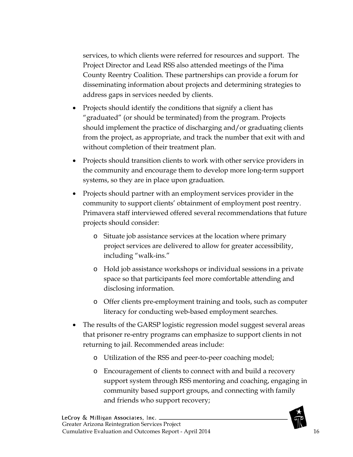services, to which clients were referred for resources and support. The Project Director and Lead RSS also attended meetings of the Pima County Reentry Coalition. These partnerships can provide a forum for disseminating information about projects and determining strategies to address gaps in services needed by clients.

- Projects should identify the conditions that signify a client has "graduated" (or should be terminated) from the program. Projects should implement the practice of discharging and/or graduating clients from the project, as appropriate, and track the number that exit with and without completion of their treatment plan.
- Projects should transition clients to work with other service providers in the community and encourage them to develop more long-term support systems, so they are in place upon graduation.
- Projects should partner with an employment services provider in the community to support clients' obtainment of employment post reentry. Primavera staff interviewed offered several recommendations that future projects should consider:
	- o Situate job assistance services at the location where primary project services are delivered to allow for greater accessibility, including "walk-ins."
	- o Hold job assistance workshops or individual sessions in a private space so that participants feel more comfortable attending and disclosing information.
	- o Offer clients pre-employment training and tools, such as computer literacy for conducting web-based employment searches.
- The results of the GARSP logistic regression model suggest several areas that prisoner re-entry programs can emphasize to support clients in not returning to jail. Recommended areas include:
	- o Utilization of the RSS and peer-to-peer coaching model;
	- o Encouragement of clients to connect with and build a recovery support system through RSS mentoring and coaching, engaging in community based support groups, and connecting with family and friends who support recovery;

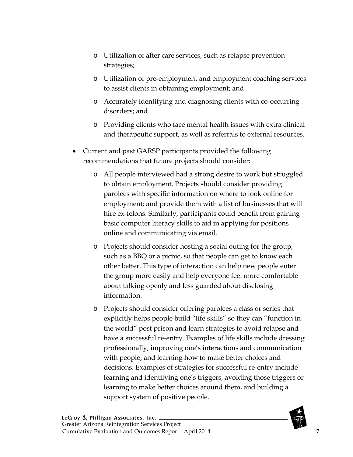- o Utilization of after care services, such as relapse prevention strategies;
- o Utilization of pre-employment and employment coaching services to assist clients in obtaining employment; and
- o Accurately identifying and diagnosing clients with co-occurring disorders; and
- o Providing clients who face mental health issues with extra clinical and therapeutic support, as well as referrals to external resources.
- Current and past GARSP participants provided the following recommendations that future projects should consider:
	- o All people interviewed had a strong desire to work but struggled to obtain employment. Projects should consider providing parolees with specific information on where to look online for employment; and provide them with a list of businesses that will hire ex-felons. Similarly, participants could benefit from gaining basic computer literacy skills to aid in applying for positions online and communicating via email.
	- o Projects should consider hosting a social outing for the group, such as a BBQ or a picnic, so that people can get to know each other better. This type of interaction can help new people enter the group more easily and help everyone feel more comfortable about talking openly and less guarded about disclosing information.
	- o Projects should consider offering parolees a class or series that explicitly helps people build "life skills" so they can "function in the world" post prison and learn strategies to avoid relapse and have a successful re-entry. Examples of life skills include dressing professionally, improving one's interactions and communication with people, and learning how to make better choices and decisions. Examples of strategies for successful re-entry include learning and identifying one's triggers, avoiding those triggers or learning to make better choices around them, and building a support system of positive people.

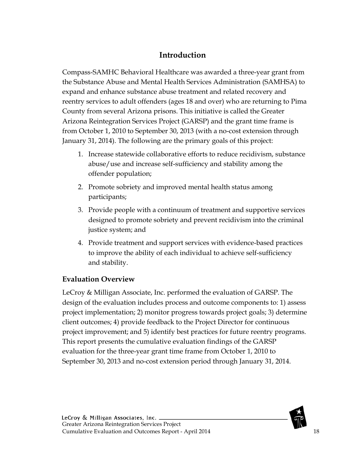### **Introduction**

<span id="page-18-0"></span>Compass-SAMHC Behavioral Healthcare was awarded a three-year grant from the Substance Abuse and Mental Health Services Administration (SAMHSA) to expand and enhance substance abuse treatment and related recovery and reentry services to adult offenders (ages 18 and over) who are returning to Pima County from several Arizona prisons. This initiative is called the Greater Arizona Reintegration Services Project (GARSP) and the grant time frame is from October 1, 2010 to September 30, 2013 (with a no-cost extension through January 31, 2014). The following are the primary goals of this project:

- 1. Increase statewide collaborative efforts to reduce recidivism, substance abuse/use and increase self-sufficiency and stability among the offender population;
- 2. Promote sobriety and improved mental health status among participants;
- 3. Provide people with a continuum of treatment and supportive services designed to promote sobriety and prevent recidivism into the criminal justice system; and
- 4. Provide treatment and support services with evidence-based practices to improve the ability of each individual to achieve self-sufficiency and stability.

#### <span id="page-18-1"></span>**Evaluation Overview**

LeCroy & Milligan Associate, Inc. performed the evaluation of GARSP. The design of the evaluation includes process and outcome components to: 1) assess project implementation; 2) monitor progress towards project goals; 3) determine client outcomes; 4) provide feedback to the Project Director for continuous project improvement; and 5) identify best practices for future reentry programs. This report presents the cumulative evaluation findings of the GARSP evaluation for the three-year grant time frame from October 1, 2010 to September 30, 2013 and no-cost extension period through January 31, 2014.

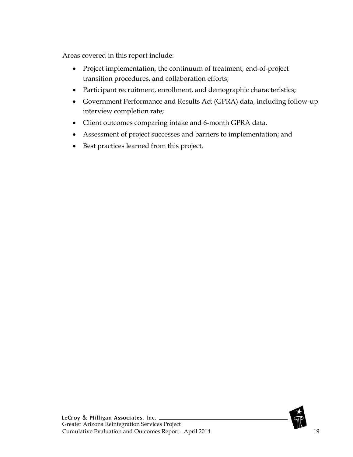Areas covered in this report include:

- Project implementation, the continuum of treatment, end-of-project transition procedures, and collaboration efforts;
- Participant recruitment, enrollment, and demographic characteristics;
- Government Performance and Results Act (GPRA) data, including follow-up interview completion rate;
- Client outcomes comparing intake and 6-month GPRA data.
- Assessment of project successes and barriers to implementation; and
- Best practices learned from this project.

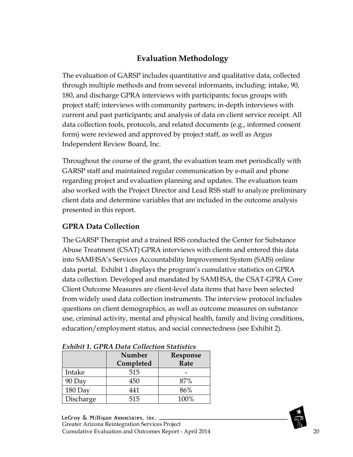### **Evaluation Methodology**

<span id="page-20-0"></span>The evaluation of GARSP includes quantitative and qualitative data, collected through multiple methods and from several informants, including: intake, 90, 180, and discharge GPRA interviews with participants; focus groups with project staff; interviews with community partners; in-depth interviews with current and past participants; and analysis of data on client service receipt. All data collection tools, protocols, and related documents (e.g., informed consent form) were reviewed and approved by project staff, as well as Argus Independent Review Board, Inc.

Throughout the course of the grant, the evaluation team met periodically with GARSP staff and maintained regular communication by e-mail and phone regarding project and evaluation planning and updates. The evaluation team also worked with the Project Director and Lead RSS staff to analyze preliminary client data and determine variables that are included in the outcome analysis presented in this report.

### <span id="page-20-1"></span>**GPRA Data Collection**

The GARSP Therapist and a trained RSS conducted the Center for Substance Abuse Treatment (CSAT) GPRA interviews with clients and entered this data into SAMHSA's Services Accountability Improvement System (SAIS) online data portal. Exhibit 1 displays the program's cumulative statistics on GPRA data collection. Developed and mandated by SAMHSA, the CSAT-GPRA Core Client Outcome Measures are client-level data items that have been selected from widely used data collection instruments. The interview protocol includes questions on client demographics, as well as outcome measures on substance use, criminal activity, mental and physical health, family and living conditions, education/employment status, and social connectedness (see Exhibit 2).

|           | <b>Number</b><br>Completed | Response<br>Rate |  |
|-----------|----------------------------|------------------|--|
| Intake    | 515                        |                  |  |
| 90 Day    | 450                        | 87%              |  |
| 180 Day   | 141                        | 86%              |  |
| Discharge | 515                        | 100%             |  |

<span id="page-20-2"></span>

| <b>Exhibit 1. GPRA Data Collection Statistics</b> |
|---------------------------------------------------|
|---------------------------------------------------|

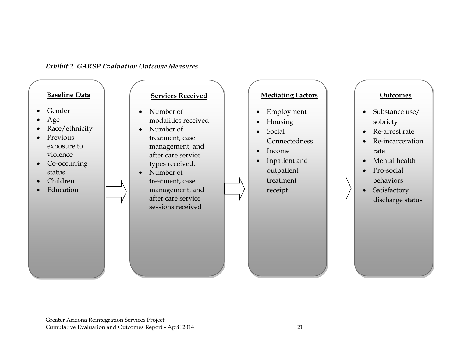#### *Exhibit 2. GARSP Evaluation Outcome Measures*

<span id="page-21-0"></span>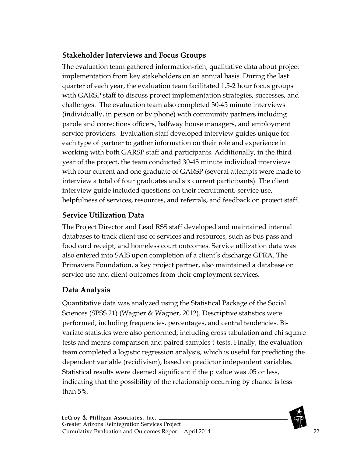### <span id="page-22-0"></span>**Stakeholder Interviews and Focus Groups**

The evaluation team gathered information-rich, qualitative data about project implementation from key stakeholders on an annual basis. During the last quarter of each year, the evaluation team facilitated 1.5-2 hour focus groups with GARSP staff to discuss project implementation strategies, successes, and challenges. The evaluation team also completed 30-45 minute interviews (individually, in person or by phone) with community partners including parole and corrections officers, halfway house managers, and employment service providers. Evaluation staff developed interview guides unique for each type of partner to gather information on their role and experience in working with both GARSP staff and participants. Additionally, in the third year of the project, the team conducted 30-45 minute individual interviews with four current and one graduate of GARSP (several attempts were made to interview a total of four graduates and six current participants). The client interview guide included questions on their recruitment, service use, helpfulness of services, resources, and referrals, and feedback on project staff.

### <span id="page-22-1"></span>**Service Utilization Data**

The Project Director and Lead RSS staff developed and maintained internal databases to track client use of services and resources, such as bus pass and food card receipt, and homeless court outcomes. Service utilization data was also entered into SAIS upon completion of a client's discharge GPRA. The Primavera Foundation, a key project partner, also maintained a database on service use and client outcomes from their employment services.

### <span id="page-22-2"></span>**Data Analysis**

Quantitative data was analyzed using the Statistical Package of the Social Sciences (SPSS 21) [\(Wagner & Wagner, 2012\)](#page-101-1). Descriptive statistics were performed, including frequencies, percentages, and central tendencies. Bivariate statistics were also performed, including cross tabulation and chi square tests and means comparison and paired samples t-tests. Finally, the evaluation team completed a logistic regression analysis, which is useful for predicting the dependent variable (recidivism), based on predictor independent variables. Statistical results were deemed significant if the p value was .05 or less, indicating that the possibility of the relationship occurring by chance is less than 5%.

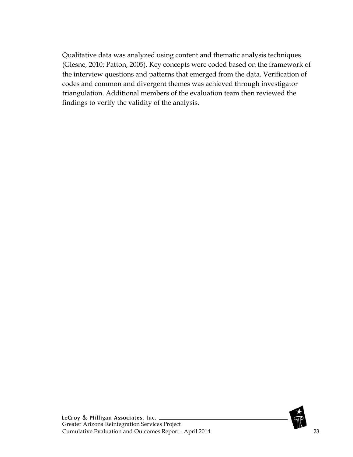Qualitative data was analyzed using content and thematic analysis techniques (Glesne, 2010; Patton, 2005). Key concepts were coded based on the framework of the interview questions and patterns that emerged from the data. Verification of codes and common and divergent themes was achieved through investigator triangulation. Additional members of the evaluation team then reviewed the findings to verify the validity of the analysis.

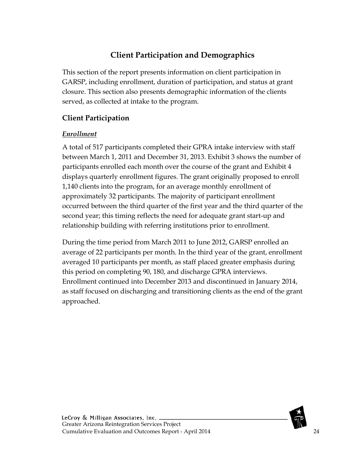## **Client Participation and Demographics**

<span id="page-24-0"></span>This section of the report presents information on client participation in GARSP, including enrollment, duration of participation, and status at grant closure. This section also presents demographic information of the clients served, as collected at intake to the program.

### <span id="page-24-1"></span>**Client Participation**

#### <span id="page-24-2"></span>*Enrollment*

A total of 517 participants completed their GPRA intake interview with staff between March 1, 2011 and December 31, 2013. Exhibit 3 shows the number of participants enrolled each month over the course of the grant and Exhibit 4 displays quarterly enrollment figures. The grant originally proposed to enroll 1,140 clients into the program, for an average monthly enrollment of approximately 32 participants. The majority of participant enrollment occurred between the third quarter of the first year and the third quarter of the second year; this timing reflects the need for adequate grant start-up and relationship building with referring institutions prior to enrollment.

During the time period from March 2011 to June 2012, GARSP enrolled an average of 22 participants per month. In the third year of the grant, enrollment averaged 10 participants per month, as staff placed greater emphasis during this period on completing 90, 180, and discharge GPRA interviews. Enrollment continued into December 2013 and discontinued in January 2014, as staff focused on discharging and transitioning clients as the end of the grant approached.

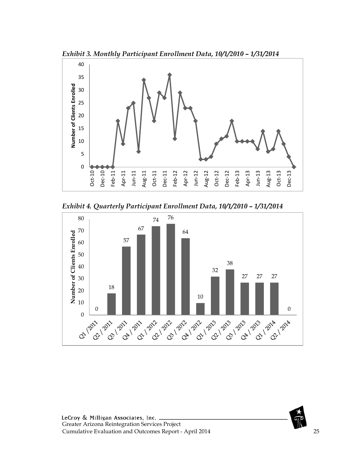<span id="page-25-0"></span>



<span id="page-25-1"></span>*Exhibit 4. Quarterly Participant Enrollment Data, 10/1/2010 – 1/31/2014*



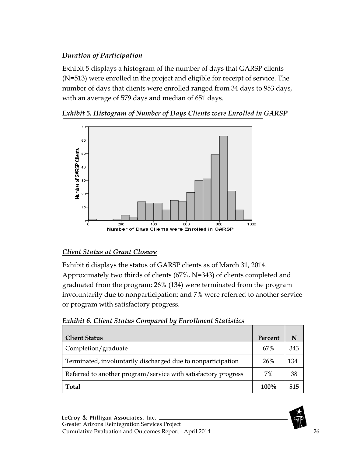### <span id="page-26-0"></span>*Duration of Participation*

Exhibit 5 displays a histogram of the number of days that GARSP clients (N=513) were enrolled in the project and eligible for receipt of service. The number of days that clients were enrolled ranged from 34 days to 953 days, with an average of 579 days and median of 651 days.



<span id="page-26-2"></span>

#### <span id="page-26-1"></span>*Client Status at Grant Closure*

Exhibit 6 displays the status of GARSP clients as of March 31, 2014. Approximately two thirds of clients (67%, N=343) of clients completed and graduated from the program; 26% (134) were terminated from the program involuntarily due to nonparticipation; and 7% were referred to another service or program with satisfactory progress.

<span id="page-26-3"></span>

| <b>Exhibit 6. Client Status Compared by Enrollment Statistics</b> |  |  |
|-------------------------------------------------------------------|--|--|
|                                                                   |  |  |

| <b>Client Status</b>                                           | Percent | N   |
|----------------------------------------------------------------|---------|-----|
| Completion/graduate                                            | 67%     | 343 |
| Terminated, involuntarily discharged due to nonparticipation   | 26%     | 134 |
| Referred to another program/service with satisfactory progress | 7%      | 38  |
| <b>Total</b>                                                   | $100\%$ | 515 |

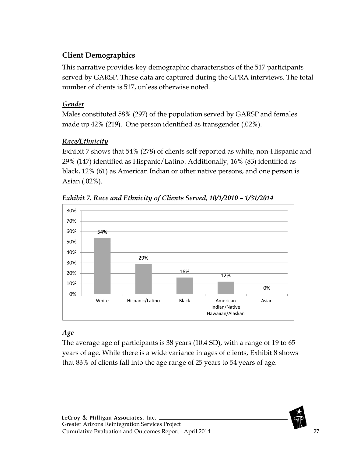### <span id="page-27-0"></span>**Client Demographics**

This narrative provides key demographic characteristics of the 517 participants served by GARSP. These data are captured during the GPRA interviews. The total number of clients is 517, unless otherwise noted.

### <span id="page-27-1"></span>*Gender*

Males constituted 58% (297) of the population served by GARSP and females made up 42% (219). One person identified as transgender (.02%).

### <span id="page-27-2"></span>*Race/Ethnicity*

Exhibit 7 shows that 54% (278) of clients self-reported as white, non-Hispanic and 29% (147) identified as Hispanic/Latino. Additionally, 16% (83) identified as black, 12% (61) as American Indian or other native persons, and one person is Asian (.02%).



<span id="page-27-4"></span>*Exhibit 7. Race and Ethnicity of Clients Served, 10/1/2010 – 1/31/2014*

### <span id="page-27-3"></span>*Age*

The average age of participants is 38 years (10.4 SD), with a range of 19 to 65 years of age. While there is a wide variance in ages of clients, Exhibit 8 shows that 83% of clients fall into the age range of 25 years to 54 years of age.

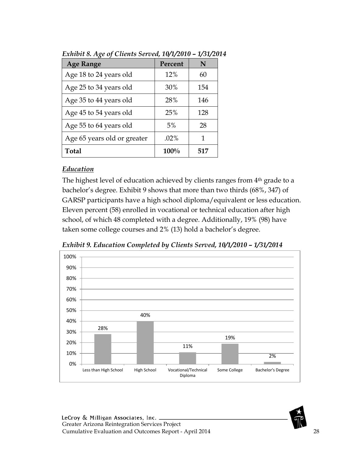| <b>Age Range</b>            | Percent | N   |
|-----------------------------|---------|-----|
| Age 18 to 24 years old      | 12%     | 60  |
| Age 25 to 34 years old      | 30%     | 154 |
| Age 35 to 44 years old      | 28%     | 146 |
| Age 45 to 54 years old      | 25%     | 128 |
| Age 55 to 64 years old      | 5%      | 28  |
| Age 65 years old or greater | $.02\%$ | 1   |
| <b>Total</b>                | 100%    | 517 |

<span id="page-28-1"></span>*Exhibit 8. Age of Clients Served, 10/1/2010 – 1/31/2014*

#### <span id="page-28-0"></span>*Education*

The highest level of education achieved by clients ranges from 4<sup>th</sup> grade to a bachelor's degree. Exhibit 9 shows that more than two thirds (68%, 347) of GARSP participants have a high school diploma/equivalent or less education. Eleven percent (58) enrolled in vocational or technical education after high school, of which 48 completed with a degree. Additionally, 19% (98) have taken some college courses and 2% (13) hold a bachelor's degree.

<span id="page-28-2"></span>*Exhibit 9. Education Completed by Clients Served, 10/1/2010 – 1/31/2014*



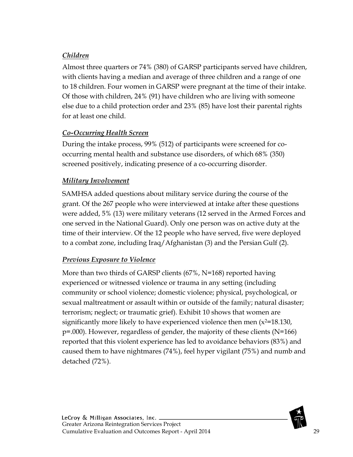### <span id="page-29-0"></span>*Children*

Almost three quarters or 74% (380) of GARSP participants served have children, with clients having a median and average of three children and a range of one to 18 children. Four women in GARSP were pregnant at the time of their intake. Of those with children, 24% (91) have children who are living with someone else due to a child protection order and 23% (85) have lost their parental rights for at least one child.

#### <span id="page-29-1"></span>*Co-Occurring Health Screen*

During the intake process, 99% (512) of participants were screened for cooccurring mental health and substance use disorders, of which 68% (350) screened positively, indicating presence of a co-occurring disorder.

#### <span id="page-29-2"></span>*Military Involvement*

SAMHSA added questions about military service during the course of the grant. Of the 267 people who were interviewed at intake after these questions were added, 5% (13) were military veterans (12 served in the Armed Forces and one served in the National Guard). Only one person was on active duty at the time of their interview. Of the 12 people who have served, five were deployed to a combat zone, including Iraq/Afghanistan (3) and the Persian Gulf (2).

#### <span id="page-29-3"></span>*Previous Exposure to Violence*

More than two thirds of GARSP clients (67%, N=168) reported having experienced or witnessed violence or trauma in any setting (including community or school violence; domestic violence; physical, psychological, or sexual maltreatment or assault within or outside of the family; natural disaster; terrorism; neglect; or traumatic grief). Exhibit 10 shows that women are significantly more likely to have experienced violence then men  $(x^2=18.130,$ p=.000). However, regardless of gender, the majority of these clients (N=166) reported that this violent experience has led to avoidance behaviors (83%) and caused them to have nightmares (74%), feel hyper vigilant (75%) and numb and detached (72%).

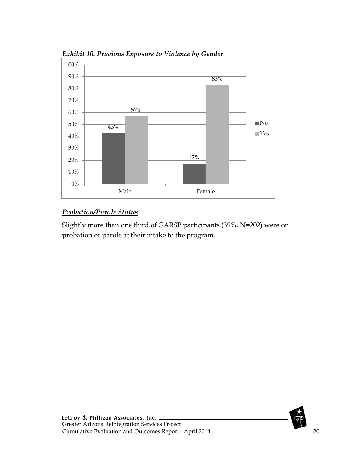

<span id="page-30-1"></span>*Exhibit 10. Previous Exposure to Violence by Gender*

#### <span id="page-30-0"></span>*Probation/Parole Status*

Slightly more than one third of GARSP participants (39%, N=202) were on probation or parole at their intake to the program.

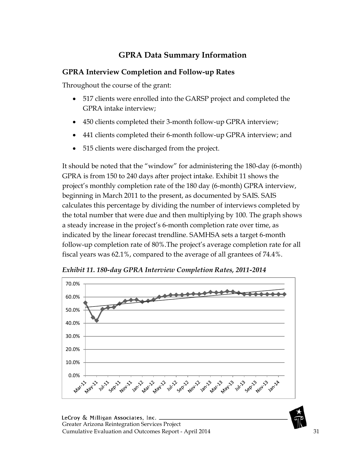## **GPRA Data Summary Information**

#### <span id="page-31-1"></span><span id="page-31-0"></span>**GPRA Interview Completion and Follow-up Rates**

Throughout the course of the grant:

- 517 clients were enrolled into the GARSP project and completed the GPRA intake interview;
- 450 clients completed their 3-month follow-up GPRA interview;
- 441 clients completed their 6-month follow-up GPRA interview; and
- 515 clients were discharged from the project.

It should be noted that the "window" for administering the 180-day (6-month) GPRA is from 150 to 240 days after project intake. Exhibit 11 shows the project's monthly completion rate of the 180 day (6-month) GPRA interview, beginning in March 2011 to the present, as documented by SAIS. SAIS calculates this percentage by dividing the number of interviews completed by the total number that were due and then multiplying by 100. The graph shows a steady increase in the project's 6-month completion rate over time, as indicated by the linear forecast trendline. SAMHSA sets a target 6-month follow-up completion rate of 80%.The project's average completion rate for all fiscal years was 62.1%, compared to the average of all grantees of 74.4%.



<span id="page-31-2"></span>*Exhibit 11. 180-day GPRA Interview Completion Rates, 2011-2014*

LeCroy & Milligan Associates, Inc. . Greater Arizona Reintegration Services Project Cumulative Evaluation and Outcomes Report - April 2014 31

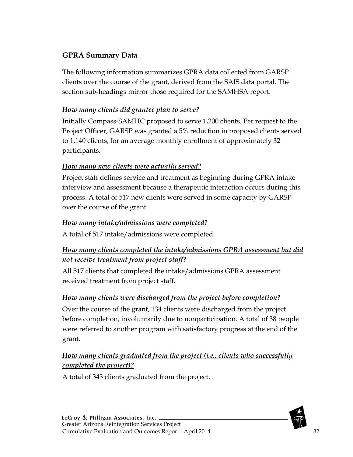### <span id="page-32-0"></span>**GPRA Summary Data**

The following information summarizes GPRA data collected from GARSP clients over the course of the grant, derived from the SAIS data portal. The section sub-headings mirror those required for the SAMHSA report.

#### <span id="page-32-1"></span>*How many clients did grantee plan to serve?*

Initially Compass-SAMHC proposed to serve 1,200 clients. Per request to the Project Officer, GARSP was granted a 5% reduction in proposed clients served to 1,140 clients, for an average monthly enrollment of approximately 32 participants.

#### <span id="page-32-2"></span>*How many new clients were actually served?*

Project staff defines service and treatment as beginning during GPRA intake interview and assessment because a therapeutic interaction occurs during this process. A total of 517 new clients were served in some capacity by GARSP over the course of the grant.

#### <span id="page-32-3"></span>*How many intake/admissions were completed?*

A total of 517 intake/admissions were completed.

### <span id="page-32-4"></span>*How many clients completed the intake/admissions GPRA assessment but did not receive treatment from project staff?*

All 517 clients that completed the intake/admissions GPRA assessment received treatment from project staff.

#### <span id="page-32-5"></span>*How many clients were discharged from the project before completion?*

Over the course of the grant, 134 clients were discharged from the project before completion, involuntarily due to nonparticipation. A total of 38 people were referred to another program with satisfactory progress at the end of the grant.

#### <span id="page-32-6"></span>*How many clients graduated from the project (i.e., clients who successfully completed the project)?*

A total of 343 clients graduated from the project.

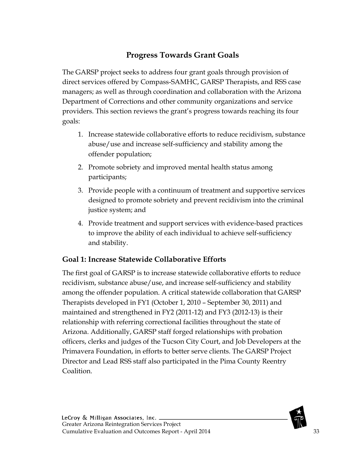## **Progress Towards Grant Goals**

<span id="page-33-0"></span>The GARSP project seeks to address four grant goals through provision of direct services offered by Compass-SAMHC, GARSP Therapists, and RSS case managers; as well as through coordination and collaboration with the Arizona Department of Corrections and other community organizations and service providers. This section reviews the grant's progress towards reaching its four goals:

- 1. Increase statewide collaborative efforts to reduce recidivism, substance abuse/use and increase self-sufficiency and stability among the offender population;
- 2. Promote sobriety and improved mental health status among participants;
- 3. Provide people with a continuum of treatment and supportive services designed to promote sobriety and prevent recidivism into the criminal justice system; and
- 4. Provide treatment and support services with evidence-based practices to improve the ability of each individual to achieve self-sufficiency and stability.

#### <span id="page-33-1"></span>**Goal 1: Increase Statewide Collaborative Efforts**

The first goal of GARSP is to increase statewide collaborative efforts to reduce recidivism, substance abuse/use, and increase self-sufficiency and stability among the offender population. A critical statewide collaboration that GARSP Therapists developed in FY1 (October 1, 2010 – September 30, 2011) and maintained and strengthened in FY2 (2011-12) and FY3 (2012-13) is their relationship with referring correctional facilities throughout the state of Arizona. Additionally, GARSP staff forged relationships with probation officers, clerks and judges of the Tucson City Court, and Job Developers at the Primavera Foundation, in efforts to better serve clients. The GARSP Project Director and Lead RSS staff also participated in the Pima County Reentry Coalition.

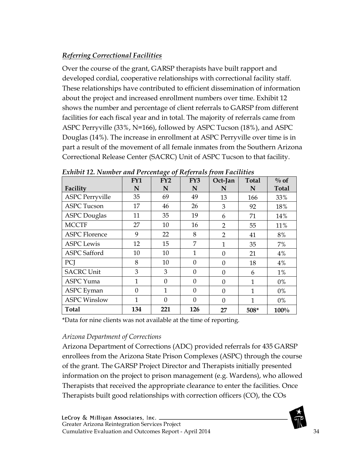#### <span id="page-34-0"></span>*Referring Correctional Facilities*

Over the course of the grant, GARSP therapists have built rapport and developed cordial, cooperative relationships with correctional facility staff. These relationships have contributed to efficient dissemination of information about the project and increased enrollment numbers over time. Exhibit 12 shows the number and percentage of client referrals to GARSP from different facilities for each fiscal year and in total. The majority of referrals came from ASPC Perryville (33%, N=166), followed by ASPC Tucson (18%), and ASPC Douglas (14%). The increase in enrollment at ASPC Perryville over time is in part a result of the movement of all female inmates from the Southern Arizona Correctional Release Center (SACRC) Unit of ASPC Tucson to that facility.

|                        | FY1          | FY2      | FY3      | Oct-Jan        | <b>Total</b> | $\%$ of      |
|------------------------|--------------|----------|----------|----------------|--------------|--------------|
| Facility               | N            | N        | N        | N              | N            | <b>Total</b> |
| <b>ASPC Perryville</b> | 35           | 69       | 49       | 13             | 166          | 33%          |
| <b>ASPC Tucson</b>     | 17           | 46       | 26       | 3              | 92           | 18%          |
| <b>ASPC</b> Douglas    | 11           | 35       | 19       | 6              | 71           | 14%          |
| <b>MCCTF</b>           | 27           | 10       | 16       | $\overline{2}$ | 55           | 11%          |
| <b>ASPC Florence</b>   | 9            | 22       | 8        | $\overline{2}$ | 41           | 8%           |
| <b>ASPC</b> Lewis      | 12           | 15       | 7        | 1              | 35           | 7%           |
| <b>ASPC</b> Safford    | 10           | 10       | 1        | $\theta$       | 21           | 4%           |
| PCI                    | 8            | 10       | $\theta$ | $\Omega$       | 18           | 4%           |
| <b>SACRC Unit</b>      | 3            | 3        | $\theta$ | $\Omega$       | 6            | $1\%$        |
| <b>ASPC</b> Yuma       | 1            | $\Omega$ | $\Omega$ | $\theta$       | 1            | 0%           |
| <b>ASPC</b> Eyman      | $\Omega$     | 1        | $\theta$ | $\Omega$       | 1            | $0\%$        |
| <b>ASPC Winslow</b>    | $\mathbf{1}$ | $\theta$ | $\theta$ | $\theta$       | 1            | 0%           |
| <b>Total</b>           | 134          | 221      | 126      | 27             | 508*         | 100%         |

<span id="page-34-1"></span>*Exhibit 12. Number and Percentage of Referrals from Facilities*

\*Data for nine clients was not available at the time of reporting.

#### *Arizona Department of Corrections*

Arizona Department of Corrections (ADC) provided referrals for 435 GARSP enrollees from the Arizona State Prison Complexes (ASPC) through the course of the grant. The GARSP Project Director and Therapists initially presented information on the project to prison management (e.g. Wardens), who allowed Therapists that received the appropriate clearance to enter the facilities. Once Therapists built good relationships with correction officers (CO), the COs

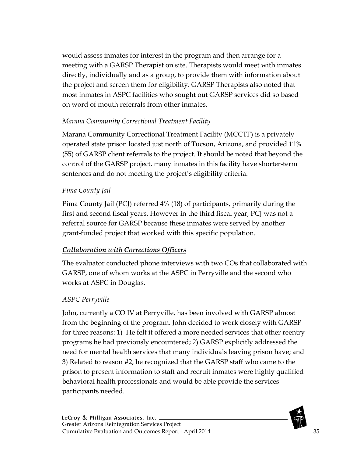would assess inmates for interest in the program and then arrange for a meeting with a GARSP Therapist on site. Therapists would meet with inmates directly, individually and as a group, to provide them with information about the project and screen them for eligibility. GARSP Therapists also noted that most inmates in ASPC facilities who sought out GARSP services did so based on word of mouth referrals from other inmates.

#### *Marana Community Correctional Treatment Facility*

Marana Community Correctional Treatment Facility (MCCTF) is a privately operated state prison located just north of Tucson, Arizona, and provided 11% (55) of GARSP client referrals to the project. It should be noted that beyond the control of the GARSP project, many inmates in this facility have shorter-term sentences and do not meeting the project's eligibility criteria.

#### *Pima County Jail*

Pima County Jail (PCJ) referred 4% (18) of participants, primarily during the first and second fiscal years. However in the third fiscal year, PCJ was not a referral source for GARSP because these inmates were served by another grant-funded project that worked with this specific population.

#### <span id="page-35-0"></span>*Collaboration with Corrections Officers*

The evaluator conducted phone interviews with two COs that collaborated with GARSP, one of whom works at the ASPC in Perryville and the second who works at ASPC in Douglas.

#### *ASPC Perryville*

John, currently a CO IV at Perryville, has been involved with GARSP almost from the beginning of the program. John decided to work closely with GARSP for three reasons: 1) He felt it offered a more needed services that other reentry programs he had previously encountered; 2) GARSP explicitly addressed the need for mental health services that many individuals leaving prison have; and 3) Related to reason #2, he recognized that the GARSP staff who came to the prison to present information to staff and recruit inmates were highly qualified behavioral health professionals and would be able provide the services participants needed.

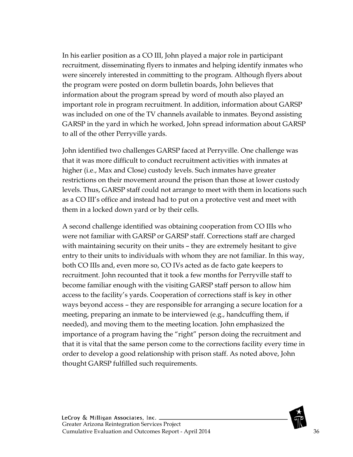In his earlier position as a CO III, John played a major role in participant recruitment, disseminating flyers to inmates and helping identify inmates who were sincerely interested in committing to the program. Although flyers about the program were posted on dorm bulletin boards, John believes that information about the program spread by word of mouth also played an important role in program recruitment. In addition, information about GARSP was included on one of the TV channels available to inmates. Beyond assisting GARSP in the yard in which he worked, John spread information about GARSP to all of the other Perryville yards.

John identified two challenges GARSP faced at Perryville. One challenge was that it was more difficult to conduct recruitment activities with inmates at higher (i.e., Max and Close) custody levels. Such inmates have greater restrictions on their movement around the prison than those at lower custody levels. Thus, GARSP staff could not arrange to meet with them in locations such as a CO III's office and instead had to put on a protective vest and meet with them in a locked down yard or by their cells.

A second challenge identified was obtaining cooperation from CO IIIs who were not familiar with GARSP or GARSP staff. Corrections staff are charged with maintaining security on their units – they are extremely hesitant to give entry to their units to individuals with whom they are not familiar. In this way, both CO IIIs and, even more so, CO IVs acted as de facto gate keepers to recruitment. John recounted that it took a few months for Perryville staff to become familiar enough with the visiting GARSP staff person to allow him access to the facility's yards. Cooperation of corrections staff is key in other ways beyond access – they are responsible for arranging a secure location for a meeting, preparing an inmate to be interviewed (e.g., handcuffing them, if needed), and moving them to the meeting location. John emphasized the importance of a program having the "right" person doing the recruitment and that it is vital that the same person come to the corrections facility every time in order to develop a good relationship with prison staff. As noted above, John thought GARSP fulfilled such requirements.

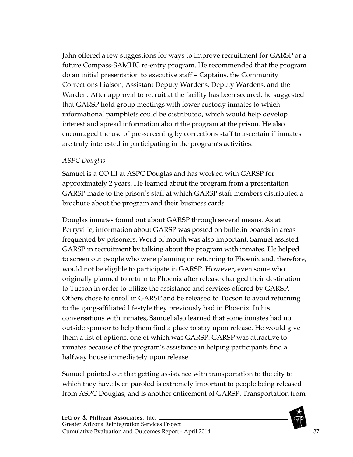John offered a few suggestions for ways to improve recruitment for GARSP or a future Compass-SAMHC re-entry program. He recommended that the program do an initial presentation to executive staff – Captains, the Community Corrections Liaison, Assistant Deputy Wardens, Deputy Wardens, and the Warden. After approval to recruit at the facility has been secured, he suggested that GARSP hold group meetings with lower custody inmates to which informational pamphlets could be distributed, which would help develop interest and spread information about the program at the prison. He also encouraged the use of pre-screening by corrections staff to ascertain if inmates are truly interested in participating in the program's activities.

#### *ASPC Douglas*

Samuel is a CO III at ASPC Douglas and has worked with GARSP for approximately 2 years. He learned about the program from a presentation GARSP made to the prison's staff at which GARSP staff members distributed a brochure about the program and their business cards.

Douglas inmates found out about GARSP through several means. As at Perryville, information about GARSP was posted on bulletin boards in areas frequented by prisoners. Word of mouth was also important. Samuel assisted GARSP in recruitment by talking about the program with inmates. He helped to screen out people who were planning on returning to Phoenix and, therefore, would not be eligible to participate in GARSP. However, even some who originally planned to return to Phoenix after release changed their destination to Tucson in order to utilize the assistance and services offered by GARSP. Others chose to enroll in GARSP and be released to Tucson to avoid returning to the gang-affiliated lifestyle they previously had in Phoenix. In his conversations with inmates, Samuel also learned that some inmates had no outside sponsor to help them find a place to stay upon release. He would give them a list of options, one of which was GARSP. GARSP was attractive to inmates because of the program's assistance in helping participants find a halfway house immediately upon release.

Samuel pointed out that getting assistance with transportation to the city to which they have been paroled is extremely important to people being released from ASPC Douglas, and is another enticement of GARSP. Transportation from

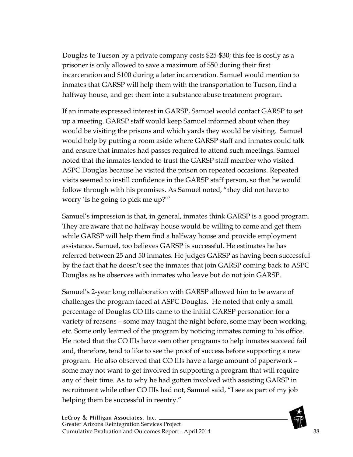Douglas to Tucson by a private company costs \$25-\$30; this fee is costly as a prisoner is only allowed to save a maximum of \$50 during their first incarceration and \$100 during a later incarceration. Samuel would mention to inmates that GARSP will help them with the transportation to Tucson, find a halfway house, and get them into a substance abuse treatment program.

If an inmate expressed interest in GARSP, Samuel would contact GARSP to set up a meeting. GARSP staff would keep Samuel informed about when they would be visiting the prisons and which yards they would be visiting. Samuel would help by putting a room aside where GARSP staff and inmates could talk and ensure that inmates had passes required to attend such meetings. Samuel noted that the inmates tended to trust the GARSP staff member who visited ASPC Douglas because he visited the prison on repeated occasions. Repeated visits seemed to instill confidence in the GARSP staff person, so that he would follow through with his promises. As Samuel noted, "they did not have to worry 'Is he going to pick me up?'"

Samuel's impression is that, in general, inmates think GARSP is a good program. They are aware that no halfway house would be willing to come and get them while GARSP will help them find a halfway house and provide employment assistance. Samuel, too believes GARSP is successful. He estimates he has referred between 25 and 50 inmates. He judges GARSP as having been successful by the fact that he doesn't see the inmates that join GARSP coming back to ASPC Douglas as he observes with inmates who leave but do not join GARSP.

Samuel's 2-year long collaboration with GARSP allowed him to be aware of challenges the program faced at ASPC Douglas. He noted that only a small percentage of Douglas CO IIIs came to the initial GARSP personation for a variety of reasons – some may taught the night before, some may been working, etc. Some only learned of the program by noticing inmates coming to his office. He noted that the CO IIIs have seen other programs to help inmates succeed fail and, therefore, tend to like to see the proof of success before supporting a new program. He also observed that CO IIIs have a large amount of paperwork – some may not want to get involved in supporting a program that will require any of their time. As to why he had gotten involved with assisting GARSP in recruitment while other CO IIIs had not, Samuel said, "I see as part of my job helping them be successful in reentry."

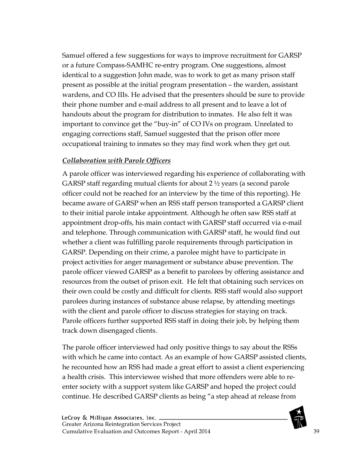Samuel offered a few suggestions for ways to improve recruitment for GARSP or a future Compass-SAMHC re-entry program. One suggestions, almost identical to a suggestion John made, was to work to get as many prison staff present as possible at the initial program presentation – the warden, assistant wardens, and CO IIIs. He advised that the presenters should be sure to provide their phone number and e-mail address to all present and to leave a lot of handouts about the program for distribution to inmates. He also felt it was important to convince get the "buy-in" of CO IVs on program. Unrelated to engaging corrections staff, Samuel suggested that the prison offer more occupational training to inmates so they may find work when they get out.

# *Collaboration with Parole Officers*

A parole officer was interviewed regarding his experience of collaborating with GARSP staff regarding mutual clients for about 2 ½ years (a second parole officer could not be reached for an interview by the time of this reporting). He became aware of GARSP when an RSS staff person transported a GARSP client to their initial parole intake appointment. Although he often saw RSS staff at appointment drop-offs, his main contact with GARSP staff occurred via e-mail and telephone. Through communication with GARSP staff, he would find out whether a client was fulfilling parole requirements through participation in GARSP. Depending on their crime, a parolee might have to participate in project activities for anger management or substance abuse prevention. The parole officer viewed GARSP as a benefit to parolees by offering assistance and resources from the outset of prison exit. He felt that obtaining such services on their own could be costly and difficult for clients. RSS staff would also support parolees during instances of substance abuse relapse, by attending meetings with the client and parole officer to discuss strategies for staying on track. Parole officers further supported RSS staff in doing their job, by helping them track down disengaged clients.

The parole officer interviewed had only positive things to say about the RSSs with which he came into contact. As an example of how GARSP assisted clients, he recounted how an RSS had made a great effort to assist a client experiencing a health crisis. This interviewee wished that more offenders were able to reenter society with a support system like GARSP and hoped the project could continue. He described GARSP clients as being "a step ahead at release from

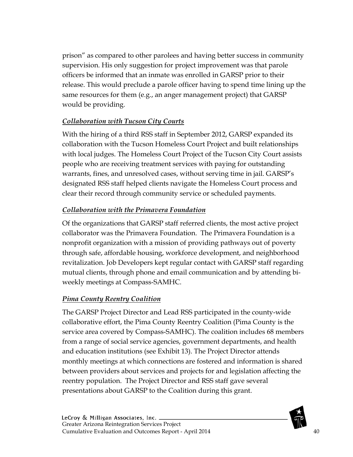prison" as compared to other parolees and having better success in community supervision. His only suggestion for project improvement was that parole officers be informed that an inmate was enrolled in GARSP prior to their release. This would preclude a parole officer having to spend time lining up the same resources for them (e.g., an anger management project) that GARSP would be providing.

# *Collaboration with Tucson City Courts*

With the hiring of a third RSS staff in September 2012, GARSP expanded its collaboration with the Tucson Homeless Court Project and built relationships with local judges. The Homeless Court Project of the Tucson City Court assists people who are receiving treatment services with paying for outstanding warrants, fines, and unresolved cases, without serving time in jail. GARSP's designated RSS staff helped clients navigate the Homeless Court process and clear their record through community service or scheduled payments.

# *Collaboration with the Primavera Foundation*

Of the organizations that GARSP staff referred clients, the most active project collaborator was the Primavera Foundation. The Primavera Foundation is a nonprofit organization with a mission of providing pathways out of poverty through safe, affordable housing, workforce development, and neighborhood revitalization. Job Developers kept regular contact with GARSP staff regarding mutual clients, through phone and email communication and by attending biweekly meetings at Compass-SAMHC.

# *Pima County Reentry Coalition*

The GARSP Project Director and Lead RSS participated in the county-wide collaborative effort, the Pima County Reentry Coalition (Pima County is the service area covered by Compass-SAMHC). The coalition includes 68 members from a range of social service agencies, government departments, and health and education institutions (see Exhibit 13). The Project Director attends monthly meetings at which connections are fostered and information is shared between providers about services and projects for and legislation affecting the reentry population. The Project Director and RSS staff gave several presentations about GARSP to the Coalition during this grant.

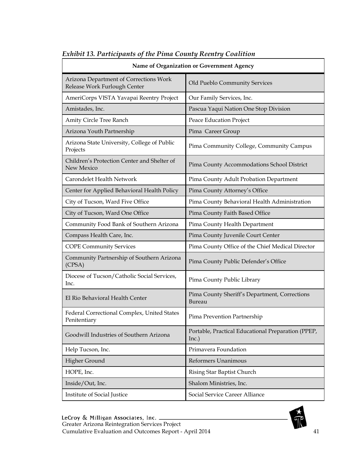| Name of Organization or Government Agency                              |                                                             |  |  |  |
|------------------------------------------------------------------------|-------------------------------------------------------------|--|--|--|
| Arizona Department of Corrections Work<br>Release Work Furlough Center | Old Pueblo Community Services                               |  |  |  |
| AmeriCorps VISTA Yavapai Reentry Project                               | Our Family Services, Inc.                                   |  |  |  |
| Amistades, Inc.                                                        | Pascua Yaqui Nation One Stop Division                       |  |  |  |
| Amity Circle Tree Ranch                                                | Peace Education Project                                     |  |  |  |
| Arizona Youth Partnership                                              | Pima Career Group                                           |  |  |  |
| Arizona State University, College of Public<br>Projects                | Pima Community College, Community Campus                    |  |  |  |
| Children's Protection Center and Shelter of<br>New Mexico              | Pima County Accommodations School District                  |  |  |  |
| Carondelet Health Network                                              | Pima County Adult Probation Department                      |  |  |  |
| Center for Applied Behavioral Health Policy                            | Pima County Attorney's Office                               |  |  |  |
| City of Tucson, Ward Five Office                                       | Pima County Behavioral Health Administration                |  |  |  |
| City of Tucson, Ward One Office                                        | Pima County Faith Based Office                              |  |  |  |
| Community Food Bank of Southern Arizona                                | Pima County Health Department                               |  |  |  |
| Compass Health Care, Inc.                                              | Pima County Juvenile Court Center                           |  |  |  |
| <b>COPE Community Services</b>                                         | Pima County Office of the Chief Medical Director            |  |  |  |
| Community Partnership of Southern Arizona<br>(CPSA)                    | Pima County Public Defender's Office                        |  |  |  |
| Diocese of Tucson/Catholic Social Services,<br>Inc.                    | Pima County Public Library                                  |  |  |  |
| El Rio Behavioral Health Center                                        | Pima County Sheriff's Department, Corrections<br>Bureau     |  |  |  |
| Federal Correctional Complex, United States<br>Penitentiary            | Pima Prevention Partnership                                 |  |  |  |
| Goodwill Industries of Southern Arizona                                | Portable, Practical Educational Preparation (PPEP,<br>Inc.) |  |  |  |
| Help Tucson, Inc.                                                      | Primavera Foundation                                        |  |  |  |
| Higher Ground                                                          | Reformers Unanimous                                         |  |  |  |
| HOPE, Inc.                                                             | Rising Star Baptist Church                                  |  |  |  |
| Inside/Out, Inc.                                                       | Shalom Ministries, Inc.                                     |  |  |  |
| Institute of Social Justice                                            | Social Service Career Alliance                              |  |  |  |

#### *Exhibit 13. Participants of the Pima County Reentry Coalition*

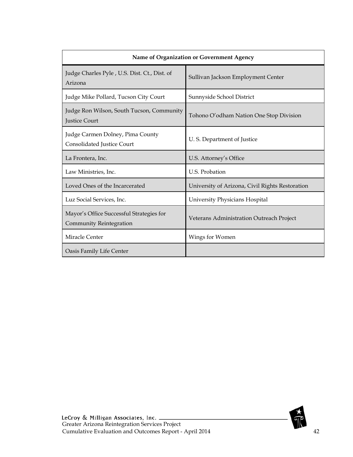| Name of Organization or Government Agency                             |                                                 |  |  |  |
|-----------------------------------------------------------------------|-------------------------------------------------|--|--|--|
| Judge Charles Pyle, U.S. Dist. Ct., Dist. of<br>Arizona               | Sullivan Jackson Employment Center              |  |  |  |
| Judge Mike Pollard, Tucson City Court                                 | Sunnyside School District                       |  |  |  |
| Judge Ron Wilson, South Tucson, Community<br><b>Justice Court</b>     | Tohono O'odham Nation One Stop Division         |  |  |  |
| Judge Carmen Dolney, Pima County<br><b>Consolidated Justice Court</b> | U.S. Department of Justice                      |  |  |  |
| La Frontera, Inc.                                                     | U.S. Attorney's Office                          |  |  |  |
| Law Ministries, Inc.                                                  | U.S. Probation                                  |  |  |  |
| Loved Ones of the Incarcerated                                        | University of Arizona, Civil Rights Restoration |  |  |  |
| Luz Social Services, Inc.                                             | University Physicians Hospital                  |  |  |  |
| Mayor's Office Successful Strategies for<br>Community Reintegration   | Veterans Administration Outreach Project        |  |  |  |
| Miracle Center                                                        | Wings for Women                                 |  |  |  |
| Oasis Family Life Center                                              |                                                 |  |  |  |

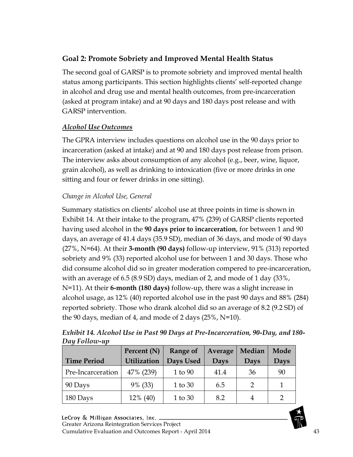# **Goal 2: Promote Sobriety and Improved Mental Health Status**

The second goal of GARSP is to promote sobriety and improved mental health status among participants. This section highlights clients' self-reported change in alcohol and drug use and mental health outcomes, from pre-incarceration (asked at program intake) and at 90 days and 180 days post release and with GARSP intervention.

## *Alcohol Use Outcomes*

The GPRA interview includes questions on alcohol use in the 90 days prior to incarceration (asked at intake) and at 90 and 180 days post release from prison. The interview asks about consumption of any alcohol (e.g., beer, wine, liquor, grain alcohol), as well as drinking to intoxication (five or more drinks in one sitting and four or fewer drinks in one sitting).

# *Change in Alcohol Use, General*

Summary statistics on clients' alcohol use at three points in time is shown in Exhibit 14. At their intake to the program, 47% (239) of GARSP clients reported having used alcohol in the **90 days prior to incarceration**, for between 1 and 90 days, an average of 41.4 days (35.9 SD), median of 36 days, and mode of 90 days (27%, N=64). At their **3-month (90 days)** follow-up interview, 91% (313) reported sobriety and 9% (33) reported alcohol use for between 1 and 30 days. Those who did consume alcohol did so in greater moderation compered to pre-incarceration, with an average of 6.5 (8.9 SD) days, median of 2, and mode of 1 day (33%, N=11). At their **6-month (180 days)** follow-up, there was a slight increase in alcohol usage, as 12% (40) reported alcohol use in the past 90 days and 88% (284) reported sobriety. Those who drank alcohol did so an average of 8.2 (9.2 SD) of the 90 days, median of 4, and mode of 2 days  $(25\%, N=10)$ .

| <b>Time Period</b> | Percent (N)<br><b>Utilization</b> | Range of<br>Days Used | Average<br>Days | Median<br>Days | Mode<br>Days |
|--------------------|-----------------------------------|-----------------------|-----------------|----------------|--------------|
| Pre-Incarceration  | 47% (239)                         | 1 to 90               | 41.4            | 36             | 90           |
| 90 Days            | 9% (33)                           | 1 to 30               | 6.5             |                |              |
| 180 Days           | 12% (40)                          | 1 to 30               | 8.2             |                |              |

*Exhibit 14. Alcohol Use in Past 90 Days at Pre-Incarceration, 90-Day, and 180- Day Follow-up*

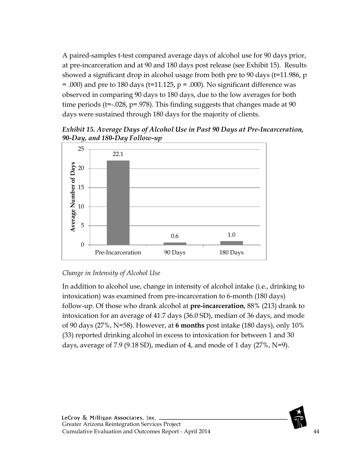A paired-samples t-test compared average days of alcohol use for 90 days prior, at pre-incarceration and at 90 and 180 days post release (see Exhibit 15). Results showed a significant drop in alcohol usage from both pre to 90 days (t=11.986, p  $=$  .000) and pre to 180 days (t=11.125, p  $=$  .000). No significant difference was observed in comparing 90 days to 180 days, due to the low averages for both time periods (t=-.028, p=.978). This finding suggests that changes made at 90 days were sustained through 180 days for the majority of clients.

*Exhibit 15. Average Days of Alcohol Use in Past 90 Days at Pre-Incarceration, 90-Day, and 180-Day Follow-up* 



# *Change in Intensity of Alcohol Use*

In addition to alcohol use, change in intensity of alcohol intake (i.e., drinking to intoxication) was examined from pre-incarceration to 6-month (180 days) follow-up. Of those who drank alcohol at **pre-incarceration**, 88% (213) drank to intoxication for an average of 41.7 days (36.0 SD), median of 36 days, and mode of 90 days (27%, N=58). However, at **6 months** post intake (180 days), only 10% (33) reported drinking alcohol in excess to intoxication for between 1 and 30 days, average of 7.9 (9.18 SD), median of 4, and mode of 1 day (27%,  $N=9$ ).

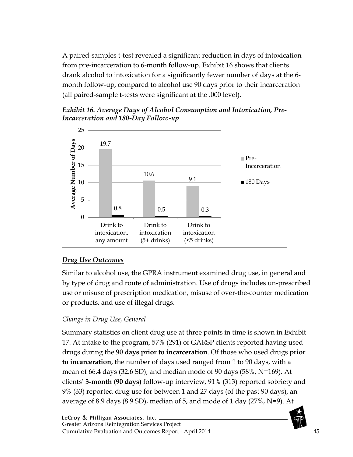A paired-samples t-test revealed a significant reduction in days of intoxication from pre-incarceration to 6-month follow-up. Exhibit 16 shows that clients drank alcohol to intoxication for a significantly fewer number of days at the 6 month follow-up, compared to alcohol use 90 days prior to their incarceration (all paired-sample t-tests were significant at the .000 level).

*Incarceration and 180-Day Follow-up* 19.7 10.6 9.1 5 10 15 20 25 Pre-Incarceration  $\blacksquare$  180 Days

*Exhibit 16. Average Days of Alcohol Consumption and Intoxication, Pre-*



# *Drug Use Outcomes*

Similar to alcohol use, the GPRA instrument examined drug use, in general and by type of drug and route of administration. Use of drugs includes un-prescribed use or misuse of prescription medication, misuse of over-the-counter medication or products, and use of illegal drugs.

# *Change in Drug Use, General*

Summary statistics on client drug use at three points in time is shown in Exhibit 17. At intake to the program, 57% (291) of GARSP clients reported having used drugs during the **90 days prior to incarceration**. Of those who used drugs **prior to incarceration**, the number of days used ranged from 1 to 90 days, with a mean of 66.4 days (32.6 SD), and median mode of 90 days (58%, N=169). At clients' **3-month (90 days)** follow-up interview, 91% (313) reported sobriety and 9% (33) reported drug use for between 1 and 27 days (of the past 90 days), an average of 8.9 days (8.9 SD), median of 5, and mode of 1 day (27%, N=9). At

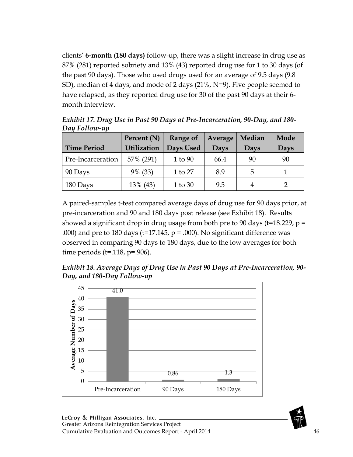clients' **6-month (180 days)** follow-up, there was a slight increase in drug use as 87% (281) reported sobriety and 13% (43) reported drug use for 1 to 30 days (of the past 90 days). Those who used drugs used for an average of 9.5 days (9.8 SD), median of 4 days, and mode of 2 days (21%, N=9). Five people seemed to have relapsed, as they reported drug use for 30 of the past 90 days at their 6 month interview.

| <b>Time Period</b> | Percent (N)<br><b>Utilization</b> | Range of<br>Days Used | Average<br>Days | Median<br>Days | Mode<br>Days |
|--------------------|-----------------------------------|-----------------------|-----------------|----------------|--------------|
| Pre-Incarceration  | 57% (291)                         | 1 to 90               | 66.4            | 90             | 90           |
| 90 Days            | 9% (33)                           | 1 to 27               | 8.9             | 5              |              |
| 180 Days           | 13% (43)                          | 1 to 30               | 9.5             |                |              |

*Exhibit 17. Drug Use in Past 90 Days at Pre-Incarceration, 90-Day, and 180- Day Follow-up*

A paired-samples t-test compared average days of drug use for 90 days prior, at pre-incarceration and 90 and 180 days post release (see Exhibit 18). Results showed a significant drop in drug usage from both pre to 90 days ( $t=18.229$ ,  $p =$ .000) and pre to 180 days ( $t=17.145$ ,  $p = .000$ ). No significant difference was observed in comparing 90 days to 180 days, due to the low averages for both time periods ( $t = .118$ ,  $p = .906$ ).

*Exhibit 18. Average Days of Drug Use in Past 90 Days at Pre-Incarceration, 90- Day, and 180-Day Follow-up*



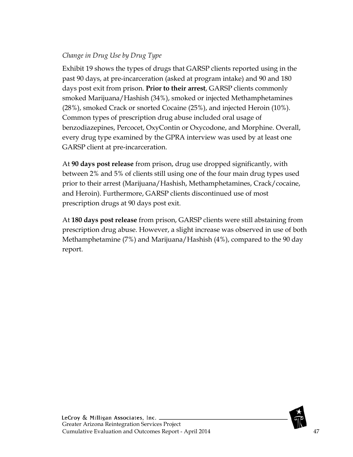## *Change in Drug Use by Drug Type*

Exhibit 19 shows the types of drugs that GARSP clients reported using in the past 90 days, at pre-incarceration (asked at program intake) and 90 and 180 days post exit from prison. **Prior to their arrest**, GARSP clients commonly smoked Marijuana/Hashish (34%), smoked or injected Methamphetamines (28%), smoked Crack or snorted Cocaine (25%), and injected Heroin (10%). Common types of prescription drug abuse included oral usage of benzodiazepines, Percocet, OxyContin or Oxycodone, and Morphine. Overall, every drug type examined by the GPRA interview was used by at least one GARSP client at pre-incarceration.

At **90 days post release** from prison, drug use dropped significantly, with between 2% and 5% of clients still using one of the four main drug types used prior to their arrest (Marijuana/Hashish, Methamphetamines, Crack/cocaine, and Heroin). Furthermore, GARSP clients discontinued use of most prescription drugs at 90 days post exit.

At **180 days post release** from prison, GARSP clients were still abstaining from prescription drug abuse. However, a slight increase was observed in use of both Methamphetamine (7%) and Marijuana/Hashish (4%), compared to the 90 day report.



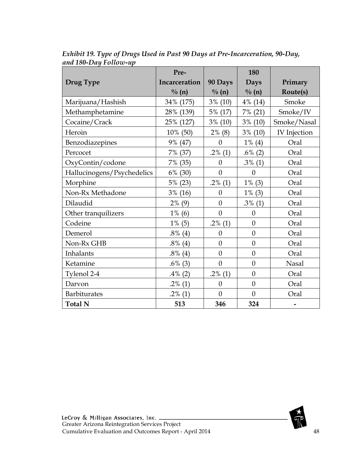|                            | Pre-          |                  | 180               |                     |
|----------------------------|---------------|------------------|-------------------|---------------------|
| Drug Type                  | Incarceration | 90 Days          | Days              | Primary             |
|                            | $\% (n)$      | $\% (n)$         | $\frac{0}{0}$ (n) | Route(s)            |
| Marijuana/Hashish          | 34% (175)     | $3\%$ (10)       | 4% (14)           | Smoke               |
| Methamphetamine            | 28% (139)     | 5% (17)          | 7% (21)           | Smoke/IV            |
| Cocaine/Crack              | 25% (127)     | $3\%$ (10)       | $3\%$ (10)        | Smoke/Nasal         |
| Heroin                     | 10% (50)      | $2\%$ (8)        | $3\%$ (10)        | <b>IV</b> Injection |
| Benzodiazepines            | 9% (47)       | $\overline{0}$   | $1\%$ (4)         | Oral                |
| Percocet                   | 7% (37)       | $.2\%$ (1)       | $.6\%$ (2)        | Oral                |
| OxyContin/codone           | 7% (35)       | $\overline{0}$   | $.3\%$ (1)        | Oral                |
| Hallucinogens/Psychedelics | (30)<br>6%    | $\boldsymbol{0}$ | $\boldsymbol{0}$  | Oral                |
| Morphine                   | 5% (23)       | $.2\%$ (1)       | $1\%$ (3)         | Oral                |
| Non-Rx Methadone           | 3%<br>(16)    | $\overline{0}$   | $1\%$ (3)         | Oral                |
| Dilaudid                   | $2\%$<br>(9)  | $\overline{0}$   | $.3\%$ (1)        | Oral                |
| Other tranquilizers        | $1\%$ (6)     | $\overline{0}$   | $\theta$          | Oral                |
| Codeine                    | $1\%$ (5)     | $.2\%$ (1)       | $\overline{0}$    | Oral                |
| Demerol                    | $.8\%$ (4)    | $\theta$         | $\overline{0}$    | Oral                |
| Non-Rx GHB                 | $.8\%$ (4)    | $\overline{0}$   | $\overline{0}$    | Oral                |
| Inhalants                  | $.8\%$ (4)    | $\boldsymbol{0}$ | $\overline{0}$    | Oral                |
| Ketamine                   | $.6\%$ (3)    | $\overline{0}$   | $\overline{0}$    | <b>Nasal</b>        |
| Tylenol 2-4                | $.4\%$ (2)    | $.2\%$ (1)       | $\boldsymbol{0}$  | Oral                |
| Darvon                     | $.2\%$ (1)    | $\overline{0}$   | $\overline{0}$    | Oral                |
| <b>Barbiturates</b>        | $.2\%$ (1)    | $\overline{0}$   | $\theta$          | Oral                |
| <b>Total N</b>             | 513           | 346              | 324               |                     |

*Exhibit 19. Type of Drugs Used in Past 90 Days at Pre-Incarceration, 90-Day, and 180-Day Follow-up*

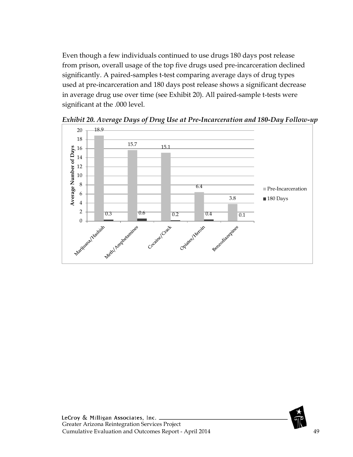Even though a few individuals continued to use drugs 180 days post release from prison, overall usage of the top five drugs used pre-incarceration declined significantly. A paired-samples t-test comparing average days of drug types used at pre-incarceration and 180 days post release shows a significant decrease in average drug use over time (see Exhibit 20). All paired-sample t-tests were significant at the .000 level.



*Exhibit 20. Average Days of Drug Use at Pre-Incarceration and 180-Day Follow-up*

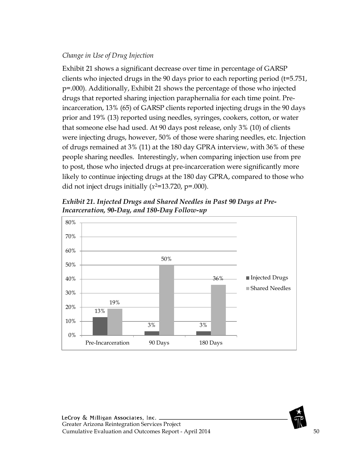#### *Change in Use of Drug Injection*

Exhibit 21 shows a significant decrease over time in percentage of GARSP clients who injected drugs in the 90 days prior to each reporting period (t=5.751, p=.000). Additionally, Exhibit 21 shows the percentage of those who injected drugs that reported sharing injection paraphernalia for each time point. Preincarceration, 13% (65) of GARSP clients reported injecting drugs in the 90 days prior and 19% (13) reported using needles, syringes, cookers, cotton, or water that someone else had used. At 90 days post release, only 3% (10) of clients were injecting drugs, however, 50% of those were sharing needles, etc. Injection of drugs remained at 3% (11) at the 180 day GPRA interview, with 36% of these people sharing needles. Interestingly, when comparing injection use from pre to post, those who injected drugs at pre-incarceration were significantly more likely to continue injecting drugs at the 180 day GPRA, compared to those who did not inject drugs initially  $(x^2=13.720, p=.000)$ .



*Exhibit 21. Injected Drugs and Shared Needles in Past 90 Days at Pre-Incarceration, 90-Day, and 180-Day Follow-up*

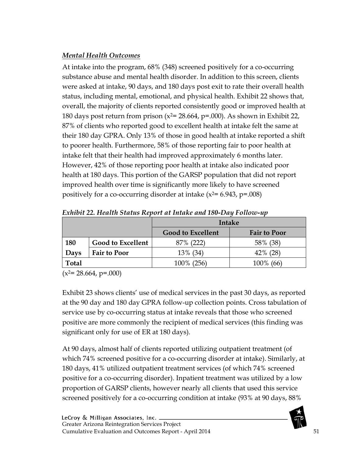# *Mental Health Outcomes*

At intake into the program, 68% (348) screened positively for a co-occurring substance abuse and mental health disorder. In addition to this screen, clients were asked at intake, 90 days, and 180 days post exit to rate their overall health status, including mental, emotional, and physical health. Exhibit 22 shows that, overall, the majority of clients reported consistently good or improved health at 180 days post return from prison ( $x^2$ = 28.664, p=.000). As shown in Exhibit 22, 87% of clients who reported good to excellent health at intake felt the same at their 180 day GPRA. Only 13% of those in good health at intake reported a shift to poorer health. Furthermore, 58% of those reporting fair to poor health at intake felt that their health had improved approximately 6 months later. However, 42% of those reporting poor health at intake also indicated poor health at 180 days. This portion of the GARSP population that did not report improved health over time is significantly more likely to have screened positively for a co-occurring disorder at intake  $(x^2=6.943, p=.008)$ 

|       |                          | Intake                   |                     |  |  |  |
|-------|--------------------------|--------------------------|---------------------|--|--|--|
|       |                          | <b>Good to Excellent</b> | <b>Fair to Poor</b> |  |  |  |
| 180   | <b>Good to Excellent</b> | 87% (222)                | 58% (38)            |  |  |  |
| Days  | <b>Fair to Poor</b>      | 13% (34)                 | $42\%$ (28)         |  |  |  |
| Total |                          | 100\% (256)              | 100\% (66)          |  |  |  |

*Exhibit 22. Health Status Report at Intake and 180-Day Follow-up*

 $(x^{2}= 28.664, p=.000)$ 

Exhibit 23 shows clients' use of medical services in the past 30 days, as reported at the 90 day and 180 day GPRA follow-up collection points. Cross tabulation of service use by co-occurring status at intake reveals that those who screened positive are more commonly the recipient of medical services (this finding was significant only for use of ER at 180 days).

At 90 days, almost half of clients reported utilizing outpatient treatment (of which 74% screened positive for a co-occurring disorder at intake). Similarly, at 180 days, 41% utilized outpatient treatment services (of which 74% screened positive for a co-occurring disorder). Inpatient treatment was utilized by a low proportion of GARSP clients, however nearly all clients that used this service screened positively for a co-occurring condition at intake (93% at 90 days, 88%

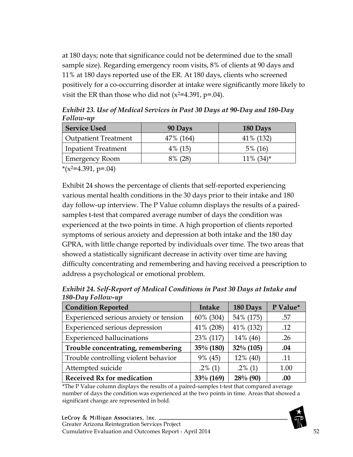at 180 days; note that significance could not be determined due to the small sample size). Regarding emergency room visits, 8% of clients at 90 days and 11% at 180 days reported use of the ER. At 180 days, clients who screened positively for a co-occurring disorder at intake were significantly more likely to visit the ER than those who did not  $(x^2=4.391, p=.04)$ .

| <b>Service Used</b>         | 90 Days    | 180 Days                 |
|-----------------------------|------------|--------------------------|
| <b>Outpatient Treatment</b> | 47\% (164) | 41\% (132)               |
| Inpatient Treatment         | $4\%$ (15) | $5\%$ (16)               |
| <b>Emergency Room</b>       | 8% (28)    | $11\%$ (34) <sup>*</sup> |

*Exhibit 23. Use of Medical Services in Past 30 Days at 90-Day and 180-Day Follow-up*

 $*(x^2=4.391, p=.04)$ 

Exhibit 24 shows the percentage of clients that self-reported experiencing various mental health conditions in the 30 days prior to their intake and 180 day follow-up interview. The P Value column displays the results of a pairedsamples t-test that compared average number of days the condition was experienced at the two points in time. A high proportion of clients reported symptoms of serious anxiety and depression at both intake and the 180 day GPRA, with little change reported by individuals over time. The two areas that showed a statistically significant decrease in activity over time are having difficulty concentrating and remembering and having received a prescription to address a psychological or emotional problem.

| <b>Condition Reported</b>              | Intake     | 180 Days    | P Value* |
|----------------------------------------|------------|-------------|----------|
| Experienced serious anxiety or tension | 60% (304)  | 54% (175)   | .57      |
| Experienced serious depression         | 41% (208)  | 41% (132)   | .12      |
| <b>Experienced hallucinations</b>      | 23% (117)  | 14% (46)    | .26      |
| Trouble concentrating, remembering     | 35% (180)  | 32% (105)   | .04      |
| Trouble controlling violent behavior   | 9% (45)    | $12\%$ (40) | .11      |
| Attempted suicide                      | $.2\%$ (1) | $.2\%$ (1)  | 1.00     |
| <b>Received Rx for medication</b>      | 33% (169)  | $28\%$ (90) | .00      |

*Exhibit 24. Self-Report of Medical Conditions in Past 30 Days at Intake and 180-Day Follow-up*

\*The P Value column displays the results of a paired-samples t-test that compared average number of days the condition was experienced at the two points in time. Areas that showed a significant change are represented in bold.

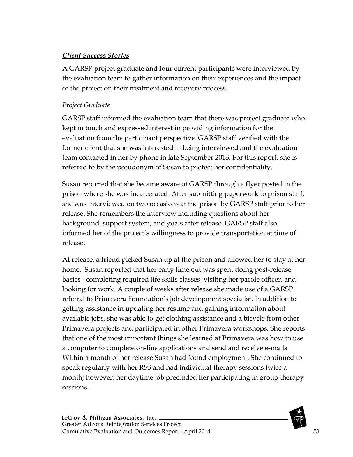## *Client Success Stories*

A GARSP project graduate and four current participants were interviewed by the evaluation team to gather information on their experiences and the impact of the project on their treatment and recovery process.

## *Project Graduate*

GARSP staff informed the evaluation team that there was project graduate who kept in touch and expressed interest in providing information for the evaluation from the participant perspective. GARSP staff verified with the former client that she was interested in being interviewed and the evaluation team contacted in her by phone in late September 2013. For this report, she is referred to by the pseudonym of Susan to protect her confidentiality.

Susan reported that she became aware of GARSP through a flyer posted in the prison where she was incarcerated. After submitting paperwork to prison staff, she was interviewed on two occasions at the prison by GARSP staff prior to her release. She remembers the interview including questions about her background, support system, and goals after release. GARSP staff also informed her of the project's willingness to provide transportation at time of release.

At release, a friend picked Susan up at the prison and allowed her to stay at her home. Susan reported that her early time out was spent doing post-release basics - completing required life skills classes, visiting her parole officer, and looking for work. A couple of weeks after release she made use of a GARSP referral to Primavera Foundation's job development specialist. In addition to getting assistance in updating her resume and gaining information about available jobs, she was able to get clothing assistance and a bicycle from other Primavera projects and participated in other Primavera workshops. She reports that one of the most important things she learned at Primavera was how to use a computer to complete on-line applications and send and receive e-mails. Within a month of her release Susan had found employment. She continued to speak regularly with her RSS and had individual therapy sessions twice a month; however, her daytime job precluded her participating in group therapy sessions.

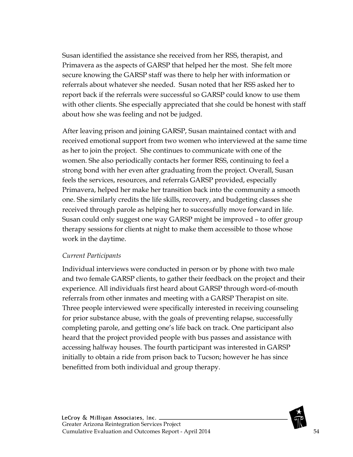Susan identified the assistance she received from her RSS, therapist, and Primavera as the aspects of GARSP that helped her the most. She felt more secure knowing the GARSP staff was there to help her with information or referrals about whatever she needed. Susan noted that her RSS asked her to report back if the referrals were successful so GARSP could know to use them with other clients. She especially appreciated that she could be honest with staff about how she was feeling and not be judged.

After leaving prison and joining GARSP, Susan maintained contact with and received emotional support from two women who interviewed at the same time as her to join the project. She continues to communicate with one of the women. She also periodically contacts her former RSS, continuing to feel a strong bond with her even after graduating from the project. Overall, Susan feels the services, resources, and referrals GARSP provided, especially Primavera, helped her make her transition back into the community a smooth one. She similarly credits the life skills, recovery, and budgeting classes she received through parole as helping her to successfully move forward in life. Susan could only suggest one way GARSP might be improved – to offer group therapy sessions for clients at night to make them accessible to those whose work in the daytime.

#### *Current Participants*

Individual interviews were conducted in person or by phone with two male and two female GARSP clients, to gather their feedback on the project and their experience. All individuals first heard about GARSP through word-of-mouth referrals from other inmates and meeting with a GARSP Therapist on site. Three people interviewed were specifically interested in receiving counseling for prior substance abuse, with the goals of preventing relapse, successfully completing parole, and getting one's life back on track. One participant also heard that the project provided people with bus passes and assistance with accessing halfway houses. The fourth participant was interested in GARSP initially to obtain a ride from prison back to Tucson; however he has since benefitted from both individual and group therapy.

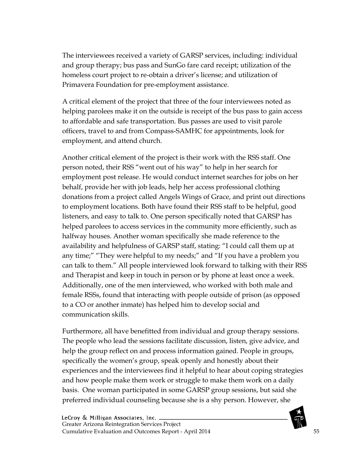The interviewees received a variety of GARSP services, including: individual and group therapy; bus pass and SunGo fare card receipt; utilization of the homeless court project to re-obtain a driver's license; and utilization of Primavera Foundation for pre-employment assistance.

A critical element of the project that three of the four interviewees noted as helping parolees make it on the outside is receipt of the bus pass to gain access to affordable and safe transportation. Bus passes are used to visit parole officers, travel to and from Compass-SAMHC for appointments, look for employment, and attend church.

Another critical element of the project is their work with the RSS staff. One person noted, their RSS "went out of his way" to help in her search for employment post release. He would conduct internet searches for jobs on her behalf, provide her with job leads, help her access professional clothing donations from a project called Angels Wings of Grace, and print out directions to employment locations. Both have found their RSS staff to be helpful, good listeners, and easy to talk to. One person specifically noted that GARSP has helped parolees to access services in the community more efficiently, such as halfway houses. Another woman specifically she made reference to the availability and helpfulness of GARSP staff, stating: "I could call them up at any time;" "They were helpful to my needs;" and "If you have a problem you can talk to them." All people interviewed look forward to talking with their RSS and Therapist and keep in touch in person or by phone at least once a week. Additionally, one of the men interviewed, who worked with both male and female RSSs, found that interacting with people outside of prison (as opposed to a CO or another inmate) has helped him to develop social and communication skills.

Furthermore, all have benefitted from individual and group therapy sessions. The people who lead the sessions facilitate discussion, listen, give advice, and help the group reflect on and process information gained. People in groups, specifically the women's group, speak openly and honestly about their experiences and the interviewees find it helpful to hear about coping strategies and how people make them work or struggle to make them work on a daily basis. One woman participated in some GARSP group sessions, but said she preferred individual counseling because she is a shy person. However, she

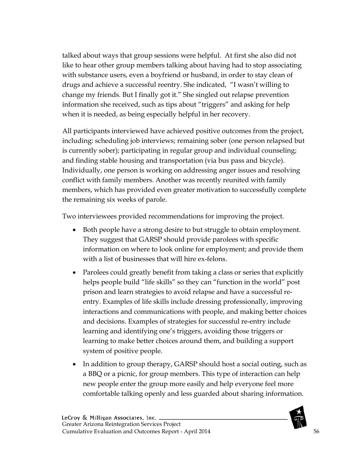talked about ways that group sessions were helpful. At first she also did not like to hear other group members talking about having had to stop associating with substance users, even a boyfriend or husband, in order to stay clean of drugs and achieve a successful reentry. She indicated, "I wasn't willing to change my friends. But I finally got it." She singled out relapse prevention information she received, such as tips about "triggers" and asking for help when it is needed, as being especially helpful in her recovery.

All participants interviewed have achieved positive outcomes from the project, including: scheduling job interviews; remaining sober (one person relapsed but is currently sober); participating in regular group and individual counseling; and finding stable housing and transportation (via bus pass and bicycle). Individually, one person is working on addressing anger issues and resolving conflict with family members. Another was recently reunited with family members, which has provided even greater motivation to successfully complete the remaining six weeks of parole.

Two interviewees provided recommendations for improving the project.

- Both people have a strong desire to but struggle to obtain employment. They suggest that GARSP should provide parolees with specific information on where to look online for employment; and provide them with a list of businesses that will hire ex-felons.
- Parolees could greatly benefit from taking a class or series that explicitly helps people build "life skills" so they can "function in the world" post prison and learn strategies to avoid relapse and have a successful reentry. Examples of life skills include dressing professionally, improving interactions and communications with people, and making better choices and decisions. Examples of strategies for successful re-entry include learning and identifying one's triggers, avoiding those triggers or learning to make better choices around them, and building a support system of positive people.
- In addition to group therapy, GARSP should host a social outing, such as a BBQ or a picnic, for group members. This type of interaction can help new people enter the group more easily and help everyone feel more comfortable talking openly and less guarded about sharing information.

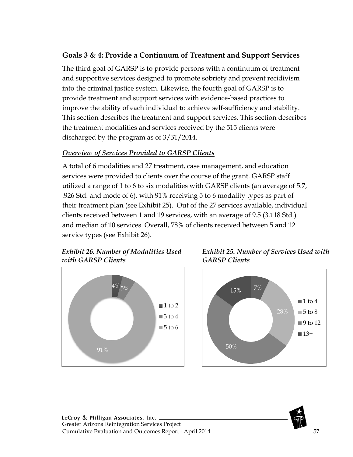# **Goals 3 & 4: Provide a Continuum of Treatment and Support Services**

The third goal of GARSP is to provide persons with a continuum of treatment and supportive services designed to promote sobriety and prevent recidivism into the criminal justice system. Likewise, the fourth goal of GARSP is to provide treatment and support services with evidence-based practices to improve the ability of each individual to achieve self-sufficiency and stability. This section describes the treatment and support services. This section describes the treatment modalities and services received by the 515 clients were discharged by the program as of 3/31/2014.

#### *Overview of Services Provided to GARSP Clients*

A total of 6 modalities and 27 treatment, case management, and education services were provided to clients over the course of the grant. GARSP staff utilized a range of 1 to 6 to six modalities with GARSP clients (an average of 5.7, .926 Std. and mode of 6), with 91% receiving 5 to 6 modality types as part of their treatment plan (see Exhibit 25). Out of the 27 services available, individual clients received between 1 and 19 services, with an average of 9.5 (3.118 Std.) and median of 10 services. Overall, 78% of clients received between 5 and 12 service types (see Exhibit 26).

# *Exhibit 26. Number of Modalities Used with GARSP Clients*



*Exhibit 25. Number of Services Used with GARSP Clients*



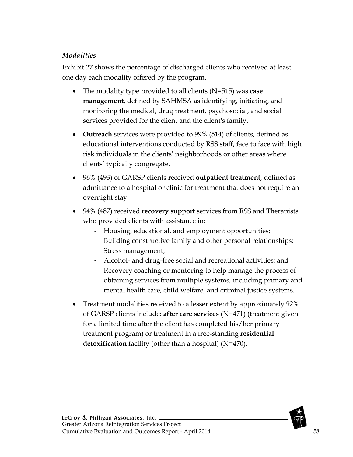## *Modalities*

Exhibit 27 shows the percentage of discharged clients who received at least one day each modality offered by the program.

- The modality type provided to all clients (N=515) was **case management**, defined by SAHMSA as identifying, initiating, and monitoring the medical, drug treatment, psychosocial, and social services provided for the client and the client's family.
- **Outreach** services were provided to 99% (514) of clients, defined as educational interventions conducted by RSS staff, face to face with high risk individuals in the clients' neighborhoods or other areas where clients' typically congregate.
- 96% (493) of GARSP clients received **outpatient treatment**, defined as admittance to a hospital or clinic for treatment that does not require an overnight stay.
- 94% (487) received **recovery support** services from RSS and Therapists who provided clients with assistance in:
	- Housing, educational, and employment opportunities;
	- Building constructive family and other personal relationships;
	- Stress management;
	- Alcohol- and drug-free social and recreational activities; and
	- Recovery coaching or mentoring to help manage the process of obtaining services from multiple systems, including primary and mental health care, child welfare, and criminal justice systems.
- Treatment modalities received to a lesser extent by approximately 92% of GARSP clients include: **after care services** (N=471) (treatment given for a limited time after the client has completed his/her primary treatment program) or treatment in a free-standing **residential detoxification** facility (other than a hospital) (N=470).

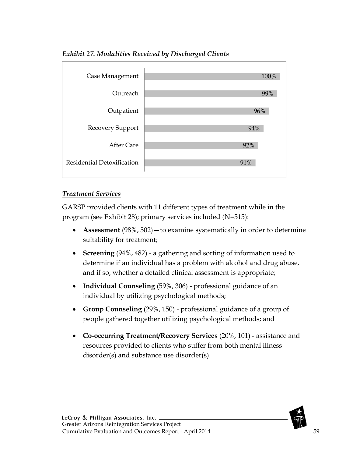

#### *Exhibit 27. Modalities Received by Discharged Clients*

#### *Treatment Services*

GARSP provided clients with 11 different types of treatment while in the program (see Exhibit 28); primary services included (N=515):

- **Assessment** (98%, 502) to examine systematically in order to determine suitability for treatment;
- **Screening** (94%, 482) a gathering and sorting of information used to determine if an individual has a problem with alcohol and drug abuse, and if so, whether a detailed clinical assessment is appropriate;
- **Individual Counseling** (59%, 306) professional guidance of an individual by utilizing psychological methods;
- **Group Counseling** (29%, 150) professional guidance of a group of people gathered together utilizing psychological methods; and
- **Co-occurring Treatment/Recovery Services** (20%, 101) assistance and resources provided to clients who suffer from both mental illness disorder(s) and substance use disorder(s).

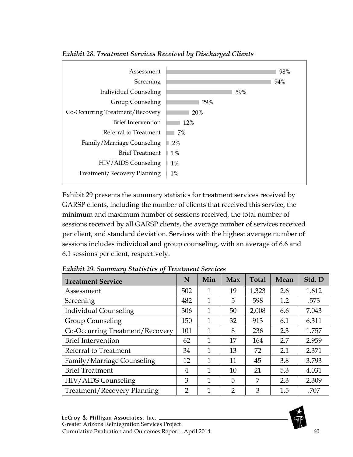

*Exhibit 28. Treatment Services Received by Discharged Clients*

Exhibit 29 presents the summary statistics for treatment services received by GARSP clients, including the number of clients that received this service, the minimum and maximum number of sessions received, the total number of sessions received by all GARSP clients, the average number of services received per client, and standard deviation. Services with the highest average number of sessions includes individual and group counseling, with an average of 6.6 and 6.1 sessions per client, respectively.

| <b>Treatment Service</b>        | N              | Min          | Max            | <b>Total</b> | Mean | Std. D |
|---------------------------------|----------------|--------------|----------------|--------------|------|--------|
| Assessment                      | 502            | 1            | 19             | 1,323        | 2.6  | 1.612  |
| Screening                       | 482            | $\mathbf{1}$ | 5              | 598          | 1.2  | .573   |
| <b>Individual Counseling</b>    | 306            | $\mathbf{1}$ | 50             | 2,008        | 6.6  | 7.043  |
| <b>Group Counseling</b>         | 150            | $\mathbf{1}$ | 32             | 913          | 6.1  | 6.311  |
| Co-Occurring Treatment/Recovery | 101            | 1            | 8              | 236          | 2.3  | 1.757  |
| <b>Brief Intervention</b>       | 62             | 1            | 17             | 164          | 2.7  | 2.959  |
| Referral to Treatment           | 34             | 1            | 13             | 72           | 2.1  | 2.371  |
| Family/Marriage Counseling      | 12             | 1            | 11             | 45           | 3.8  | 3.793  |
| <b>Brief Treatment</b>          | 4              | 1            | 10             | 21           | 5.3  | 4.031  |
| HIV/AIDS Counseling             | 3              | 1            | 5              | 7            | 2.3  | 2.309  |
| Treatment/Recovery Planning     | $\overline{2}$ | 1            | $\overline{2}$ | 3            | 1.5  | .707   |

*Exhibit 29. Summary Statistics of Treatment Services* 

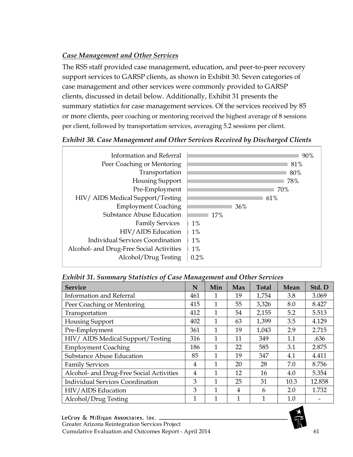# *Case Management and Other Services*

The RSS staff provided case management, education, and peer-to-peer recovery support services to GARSP clients, as shown in Exhibit 30. Seven categories of case management and other services were commonly provided to GARSP clients, discussed in detail below. Additionally, Exhibit 31 presents the summary statistics for case management services. Of the services received by 85 or more clients, peer coaching or mentoring received the highest average of 8 sessions per client, followed by transportation services, averaging 5.2 sessions per client.

## *Exhibit 30. Case Management and Other Services Received by Discharged Clients*



#### *Exhibit 31. Summary Statistics of Case Management and Other Services*

| <b>Service</b>                           | N            | Min | Max            | <b>Total</b> | Mean | Std. D |
|------------------------------------------|--------------|-----|----------------|--------------|------|--------|
| <b>Information and Referral</b>          | 461          |     | 19             | 1,754        | 3.8  | 3.069  |
| Peer Coaching or Mentoring               | 415          | 1   | 55             | 3,326        | 8.0  | 8.427  |
| Transportation                           | 412          | 1   | 54             | 2,155        | 5.2  | 5.513  |
| Housing Support                          | 402          | 1   | 63             | 1,399        | 3.5  | 4.129  |
| Pre-Employment                           | 361          | 1   | 19             | 1,043        | 2.9  | 2.715  |
| HIV/ AIDS Medical Support/Testing        | 316          | 1   | 11             | 349          | 1.1  | .636   |
| <b>Employment Coaching</b>               | 186          | 1   | 22             | 585          | 3.1  | 2.875  |
| <b>Substance Abuse Education</b>         | 85           | 1   | 19             | 347          | 4.1  | 4.411  |
| <b>Family Services</b>                   | 4            | 1   | 20             | 28           | 7.0  | 8.756  |
| Alcohol- and Drug-Free Social Activities | 4            | 1   | 12             | 16           | 4.0  | 5.354  |
| <b>Individual Services Coordination</b>  | 3            | 1   | 25             | 31           | 10.3 | 12.858 |
| HIV/AIDS Education                       | 3            | 1   | $\overline{4}$ | 6            | 2.0  | 1.732  |
| Alcohol/Drug Testing                     | $\mathbf{1}$ | 1   | 1              | 1            | 1.0  |        |

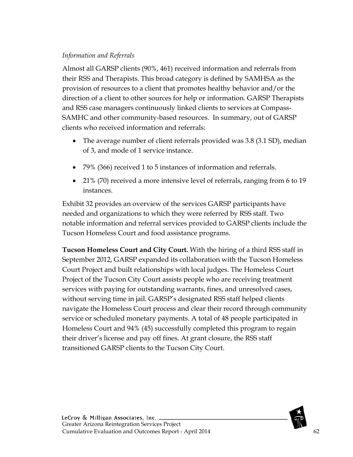#### *Information and Referrals*

Almost all GARSP clients (90%, 461) received information and referrals from their RSS and Therapists. This broad category is defined by SAMHSA as the provision of resources to a client that promotes healthy behavior and/or the direction of a client to other sources for help or information. GARSP Therapists and RSS case managers continuously linked clients to services at Compass-SAMHC and other community-based resources. In summary, out of GARSP clients who received information and referrals:

- The average number of client referrals provided was 3.8 (3.1 SD), median of 3, and mode of 1 service instance.
- 79% (366) received 1 to 5 instances of information and referrals.
- 21% (70) received a more intensive level of referrals, ranging from 6 to 19 instances.

Exhibit 32 provides an overview of the services GARSP participants have needed and organizations to which they were referred by RSS staff. Two notable information and referral services provided to GARSP clients include the Tucson Homeless Court and food assistance programs.

**Tucson Homeless Court and City Court.** With the hiring of a third RSS staff in September 2012, GARSP expanded its collaboration with the Tucson Homeless Court Project and built relationships with local judges. The Homeless Court Project of the Tucson City Court assists people who are receiving treatment services with paying for outstanding warrants, fines, and unresolved cases, without serving time in jail. GARSP's designated RSS staff helped clients navigate the Homeless Court process and clear their record through community service or scheduled monetary payments. A total of 48 people participated in Homeless Court and 94% (45) successfully completed this program to regain their driver's license and pay off fines. At grant closure, the RSS staff transitioned GARSP clients to the Tucson City Court.

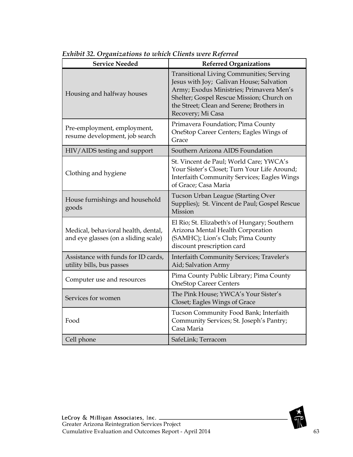| <b>Service Needed</b>                                                       | <b>Referred Organizations</b>                                                                                                                                                                                                                          |
|-----------------------------------------------------------------------------|--------------------------------------------------------------------------------------------------------------------------------------------------------------------------------------------------------------------------------------------------------|
| Housing and halfway houses                                                  | <b>Transitional Living Communities; Serving</b><br>Jesus with Joy; Galivan House; Salvation<br>Army; Exodus Ministries; Primavera Men's<br>Shelter; Gospel Rescue Mission; Church on<br>the Street; Clean and Serene; Brothers in<br>Recovery; Mi Casa |
| Pre-employment, employment,<br>resume development, job search               | Primavera Foundation; Pima County<br>OneStop Career Centers; Eagles Wings of<br>Grace                                                                                                                                                                  |
| HIV/AIDS testing and support                                                | Southern Arizona AIDS Foundation                                                                                                                                                                                                                       |
| Clothing and hygiene                                                        | St. Vincent de Paul; World Care; YWCA's<br>Your Sister's Closet; Turn Your Life Around;<br><b>Interfaith Community Services; Eagles Wings</b><br>of Grace; Casa Maria                                                                                  |
| House furnishings and household<br>goods                                    | Tucson Urban League (Starting Over<br>Supplies); St. Vincent de Paul; Gospel Rescue<br>Mission                                                                                                                                                         |
| Medical, behavioral health, dental,<br>and eye glasses (on a sliding scale) | El Rio; St. Elizabeth's of Hungary; Southern<br>Arizona Mental Health Corporation<br>(SAMHC); Lion's Club; Pima County<br>discount prescription card                                                                                                   |
| Assistance with funds for ID cards,<br>utility bills, bus passes            | Interfaith Community Services; Traveler's<br>Aid; Salvation Army                                                                                                                                                                                       |
| Computer use and resources                                                  | Pima County Public Library; Pima County<br><b>OneStop Career Centers</b>                                                                                                                                                                               |
| Services for women                                                          | The Pink House; YWCA's Your Sister's<br>Closet; Eagles Wings of Grace                                                                                                                                                                                  |
| Food                                                                        | Tucson Community Food Bank; Interfaith<br>Community Services; St. Joseph's Pantry;<br>Casa Maria                                                                                                                                                       |
| Cell phone                                                                  | SafeLink; Terracom                                                                                                                                                                                                                                     |

*Exhibit 32. Organizations to which Clients were Referred*

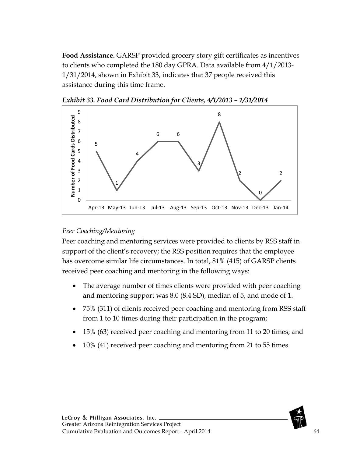**Food Assistance.** GARSP provided grocery story gift certificates as incentives to clients who completed the 180 day GPRA. Data available from 4/1/2013- 1/31/2014, shown in Exhibit 33, indicates that 37 people received this assistance during this time frame.



*Exhibit 33. Food Card Distribution for Clients, 4/1/2013 – 1/31/2014*

#### *Peer Coaching/Mentoring*

Peer coaching and mentoring services were provided to clients by RSS staff in support of the client's recovery; the RSS position requires that the employee has overcome similar life circumstances. In total, 81% (415) of GARSP clients received peer coaching and mentoring in the following ways:

- The average number of times clients were provided with peer coaching and mentoring support was 8.0 (8.4 SD), median of 5, and mode of 1.
- 75% (311) of clients received peer coaching and mentoring from RSS staff from 1 to 10 times during their participation in the program;
- 15% (63) received peer coaching and mentoring from 11 to 20 times; and
- 10% (41) received peer coaching and mentoring from 21 to 55 times.

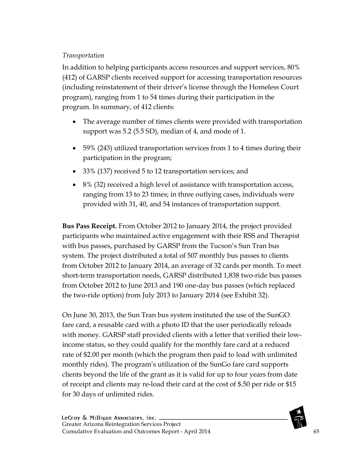## *Transportation*

In addition to helping participants access resources and support services, 80% (412) of GARSP clients received support for accessing transportation resources (including reinstatement of their driver's license through the Homeless Court program), ranging from 1 to 54 times during their participation in the program. In summary, of 412 clients:

- The average number of times clients were provided with transportation support was 5.2 (5.5 SD), median of 4, and mode of 1.
- 59% (243) utilized transportation services from 1 to 4 times during their participation in the program;
- 33% (137) received 5 to 12 transportation services; and
- 8% (32) received a high level of assistance with transportation access, ranging from 13 to 23 times; in three outlying cases, individuals were provided with 31, 40, and 54 instances of transportation support.

**Bus Pass Receipt.** From October 2012 to January 2014, the project provided participants who maintained active engagement with their RSS and Therapist with bus passes, purchased by GARSP from the Tucson's Sun Tran bus system. The project distributed a total of 507 monthly bus passes to clients from October 2012 to January 2014, an average of 32 cards per month. To meet short-term transportation needs, GARSP distributed 1,838 two-ride bus passes from October 2012 to June 2013 and 190 one-day bus passes (which replaced the two-ride option) from July 2013 to January 2014 (see Exhibit 32).

On June 30, 2013, the Sun Tran bus system instituted the use of the SunGO fare card, a reusable card with a photo ID that the user periodically reloads with money. GARSP staff provided clients with a letter that verified their lowincome status, so they could qualify for the monthly fare card at a reduced rate of \$2.00 per month (which the program then paid to load with unlimited monthly rides). The program's utilization of the SunGo fare card supports clients beyond the life of the grant as it is valid for up to four years from date of receipt and clients may re-load their card at the cost of \$.50 per ride or \$15 for 30 days of unlimited rides.

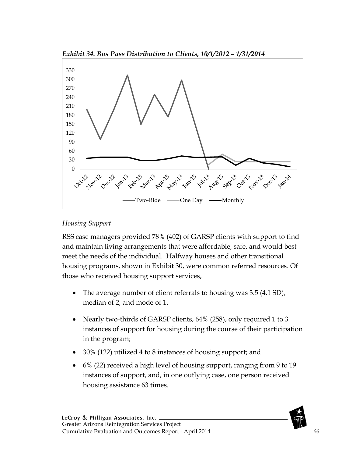



#### *Housing Support*

RSS case managers provided 78% (402) of GARSP clients with support to find and maintain living arrangements that were affordable, safe, and would best meet the needs of the individual. Halfway houses and other transitional housing programs, shown in Exhibit 30, were common referred resources. Of those who received housing support services,

- The average number of client referrals to housing was 3.5 (4.1 SD), median of 2, and mode of 1.
- Nearly two-thirds of GARSP clients, 64% (258), only required 1 to 3 instances of support for housing during the course of their participation in the program;
- 30% (122) utilized 4 to 8 instances of housing support; and
- 6% (22) received a high level of housing support, ranging from 9 to 19 instances of support, and, in one outlying case, one person received housing assistance 63 times.

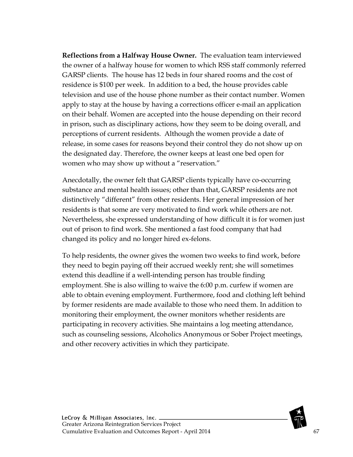**Reflections from a Halfway House Owner.** The evaluation team interviewed the owner of a halfway house for women to which RSS staff commonly referred GARSP clients. The house has 12 beds in four shared rooms and the cost of residence is \$100 per week. In addition to a bed, the house provides cable television and use of the house phone number as their contact number. Women apply to stay at the house by having a corrections officer e-mail an application on their behalf. Women are accepted into the house depending on their record in prison, such as disciplinary actions, how they seem to be doing overall, and perceptions of current residents. Although the women provide a date of release, in some cases for reasons beyond their control they do not show up on the designated day. Therefore, the owner keeps at least one bed open for women who may show up without a "reservation."

Anecdotally, the owner felt that GARSP clients typically have co-occurring substance and mental health issues; other than that, GARSP residents are not distinctively "different" from other residents. Her general impression of her residents is that some are very motivated to find work while others are not. Nevertheless, she expressed understanding of how difficult it is for women just out of prison to find work. She mentioned a fast food company that had changed its policy and no longer hired ex-felons.

To help residents, the owner gives the women two weeks to find work, before they need to begin paying off their accrued weekly rent; she will sometimes extend this deadline if a well-intending person has trouble finding employment. She is also willing to waive the 6:00 p.m. curfew if women are able to obtain evening employment. Furthermore, food and clothing left behind by former residents are made available to those who need them. In addition to monitoring their employment, the owner monitors whether residents are participating in recovery activities. She maintains a log meeting attendance, such as counseling sessions, Alcoholics Anonymous or Sober Project meetings, and other recovery activities in which they participate.

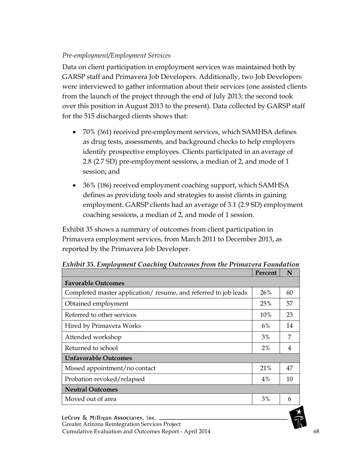#### *Pre-employment/Employment Services*

Data on client participation in employment services was maintained both by GARSP staff and Primavera Job Developers. Additionally, two Job Developers were interviewed to gather information about their services (one assisted clients from the launch of the project through the end of July 2013; the second took over this position in August 2013 to the present). Data collected by GARSP staff for the 515 discharged clients shows that:

- 70% (361) received pre-employment services, which SAMHSA defines as drug tests, assessments, and background checks to help employers identify prospective employees. Clients participated in an average of 2.8 (2.7 SD) pre-employment sessions, a median of 2, and mode of 1 session; and
- 36% (186) received employment coaching support, which SAMHSA defines as providing tools and strategies to assist clients in gaining employment. GARSP clients had an average of 3.1 (2.9 SD) employment coaching sessions, a median of 2, and mode of 1 session.

Exhibit 35 shows a summary of outcomes from client participation in Primavera employment services, from March 2011 to December 2013, as reported by the Primavera Job Developer.

|                                                                | Percent | N  |
|----------------------------------------------------------------|---------|----|
| <b>Favorable Outcomes</b>                                      |         |    |
| Completed master application/resume, and referred to job leads | 26%     | 60 |
| Obtained employment                                            | 25%     | 57 |
| Referred to other services                                     | 10%     | 23 |
| Hired by Primavera Works                                       | 6%      | 14 |
| Attended workshop                                              | 3%      | 7  |
| Returned to school                                             | $2\%$   | 4  |
| <b>Unfavorable Outcomes</b>                                    |         |    |
| Missed appointment/no contact                                  | 21%     | 47 |
| Probation revoked/relapsed                                     | 4%      | 10 |
| <b>Neutral Outcomes</b>                                        |         |    |
| Moved out of area                                              | 3%      | 6  |

*Exhibit 35. Employment Coaching Outcomes from the Primavera Foundation*

LeCroy & Milligan Associates, Inc. \_ Greater Arizona Reintegration Services Project Cumulative Evaluation and Outcomes Report - April 2014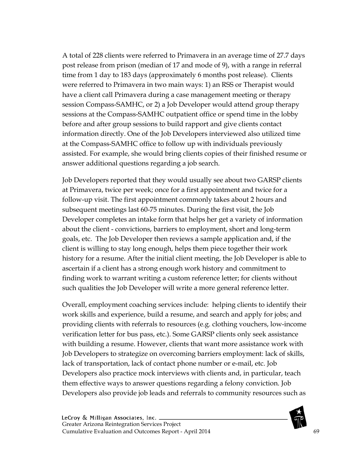A total of 228 clients were referred to Primavera in an average time of 27.7 days post release from prison (median of 17 and mode of 9), with a range in referral time from 1 day to 183 days (approximately 6 months post release). Clients were referred to Primavera in two main ways: 1) an RSS or Therapist would have a client call Primavera during a case management meeting or therapy session Compass-SAMHC, or 2) a Job Developer would attend group therapy sessions at the Compass-SAMHC outpatient office or spend time in the lobby before and after group sessions to build rapport and give clients contact information directly. One of the Job Developers interviewed also utilized time at the Compass-SAMHC office to follow up with individuals previously assisted. For example, she would bring clients copies of their finished resume or answer additional questions regarding a job search.

Job Developers reported that they would usually see about two GARSP clients at Primavera, twice per week; once for a first appointment and twice for a follow-up visit. The first appointment commonly takes about 2 hours and subsequent meetings last 60-75 minutes. During the first visit, the Job Developer completes an intake form that helps her get a variety of information about the client - convictions, barriers to employment, short and long-term goals, etc. The Job Developer then reviews a sample application and, if the client is willing to stay long enough, helps them piece together their work history for a resume. After the initial client meeting, the Job Developer is able to ascertain if a client has a strong enough work history and commitment to finding work to warrant writing a custom reference letter; for clients without such qualities the Job Developer will write a more general reference letter.

Overall, employment coaching services include: helping clients to identify their work skills and experience, build a resume, and search and apply for jobs; and providing clients with referrals to resources (e.g. clothing vouchers, low-income verification letter for bus pass, etc.). Some GARSP clients only seek assistance with building a resume. However, clients that want more assistance work with Job Developers to strategize on overcoming barriers employment: lack of skills, lack of transportation, lack of contact phone number or e-mail, etc. Job Developers also practice mock interviews with clients and, in particular, teach them effective ways to answer questions regarding a felony conviction. Job Developers also provide job leads and referrals to community resources such as

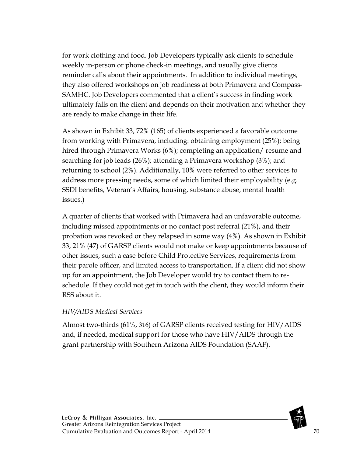for work clothing and food. Job Developers typically ask clients to schedule weekly in-person or phone check-in meetings, and usually give clients reminder calls about their appointments. In addition to individual meetings, they also offered workshops on job readiness at both Primavera and Compass-SAMHC. Job Developers commented that a client's success in finding work ultimately falls on the client and depends on their motivation and whether they are ready to make change in their life.

As shown in Exhibit 33, 72% (165) of clients experienced a favorable outcome from working with Primavera, including: obtaining employment (25%); being hired through Primavera Works (6%); completing an application/ resume and searching for job leads (26%); attending a Primavera workshop (3%); and returning to school (2%). Additionally, 10% were referred to other services to address more pressing needs, some of which limited their employability (e.g. SSDI benefits, Veteran's Affairs, housing, substance abuse, mental health issues.)

A quarter of clients that worked with Primavera had an unfavorable outcome, including missed appointments or no contact post referral (21%), and their probation was revoked or they relapsed in some way (4%). As shown in Exhibit 33, 21% (47) of GARSP clients would not make or keep appointments because of other issues, such a case before Child Protective Services, requirements from their parole officer, and limited access to transportation. If a client did not show up for an appointment, the Job Developer would try to contact them to reschedule. If they could not get in touch with the client, they would inform their RSS about it.

#### *HIV/AIDS Medical Services*

Almost two-thirds (61%, 316) of GARSP clients received testing for HIV/AIDS and, if needed, medical support for those who have HIV/AIDS through the grant partnership with Southern Arizona AIDS Foundation (SAAF).

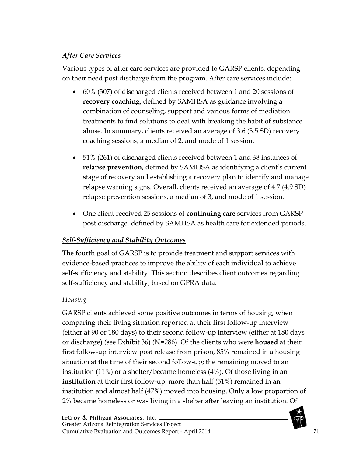# *After Care Services*

Various types of after care services are provided to GARSP clients, depending on their need post discharge from the program. After care services include:

- 60% (307) of discharged clients received between 1 and 20 sessions of **recovery coaching,** defined by SAMHSA as guidance involving a combination of counseling, support and various forms of mediation treatments to find solutions to deal with breaking the habit of substance abuse. In summary, clients received an average of 3.6 (3.5 SD) recovery coaching sessions, a median of 2, and mode of 1 session.
- 51% (261) of discharged clients received between 1 and 38 instances of **relapse prevention**, defined by SAMHSA as identifying a client's current stage of recovery and establishing a recovery plan to identify and manage relapse warning signs. Overall, clients received an average of 4.7 (4.9 SD) relapse prevention sessions, a median of 3, and mode of 1 session.
- One client received 25 sessions of **continuing care** services from GARSP post discharge, defined by SAMHSA as health care for extended periods.

# *Self-Sufficiency and Stability Outcomes*

The fourth goal of GARSP is to provide treatment and support services with evidence-based practices to improve the ability of each individual to achieve self-sufficiency and stability. This section describes client outcomes regarding self-sufficiency and stability, based on GPRA data.

# *Housing*

GARSP clients achieved some positive outcomes in terms of housing, when comparing their living situation reported at their first follow-up interview (either at 90 or 180 days) to their second follow-up interview (either at 180 days or discharge) (see Exhibit 36) (N=286). Of the clients who were **housed** at their first follow-up interview post release from prison, 85% remained in a housing situation at the time of their second follow-up; the remaining moved to an institution (11%) or a shelter/became homeless (4%). Of those living in an **institution** at their first follow-up, more than half (51%) remained in an institution and almost half (47%) moved into housing. Only a low proportion of 2% became homeless or was living in a shelter after leaving an institution. Of

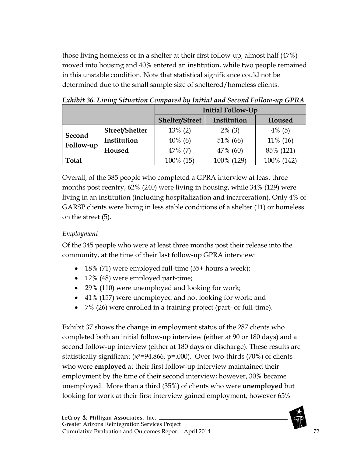those living homeless or in a shelter at their first follow-up, almost half (47%) moved into housing and 40% entered an institution, while two people remained in this unstable condition. Note that statistical significance could not be determined due to the small sample size of sheltered/homeless clients.

|                     |                | <b>Initial Follow-Up</b> |             |             |  |
|---------------------|----------------|--------------------------|-------------|-------------|--|
|                     |                | <b>Shelter/Street</b>    | Institution | Housed      |  |
| Second<br>Follow-up | Street/Shelter | $13\%$ (2)               | $2\%$ (3)   | $4\%$ (5)   |  |
|                     | Institution    | $40\%$ (6)               | 51% (66)    | $11\%$ (16) |  |
|                     | Housed         | $47\%$ (7)               | 47% (60)    | 85% (121)   |  |
| <b>Total</b>        |                | 100% (15)                | 100% (129)  | 100% (142)  |  |

*Exhibit 36. Living Situation Compared by Initial and Second Follow-up GPRA*

Overall, of the 385 people who completed a GPRA interview at least three months post reentry, 62% (240) were living in housing, while 34% (129) were living in an institution (including hospitalization and incarceration). Only 4% of GARSP clients were living in less stable conditions of a shelter (11) or homeless on the street (5).

## *Employment*

Of the 345 people who were at least three months post their release into the community, at the time of their last follow-up GPRA interview:

- 18% (71) were employed full-time (35+ hours a week);
- 12% (48) were employed part-time;
- 29% (110) were unemployed and looking for work;
- 41% (157) were unemployed and not looking for work; and
- 7% (26) were enrolled in a training project (part- or full-time).

Exhibit 37 shows the change in employment status of the 287 clients who completed both an initial follow-up interview (either at 90 or 180 days) and a second follow-up interview (either at 180 days or discharge). These results are statistically significant ( $x^2=94.866$ ,  $p=.000$ ). Over two-thirds (70%) of clients who were **employed** at their first follow-up interview maintained their employment by the time of their second interview; however, 30% became unemployed. More than a third (35%) of clients who were **unemployed** but looking for work at their first interview gained employment, however 65%

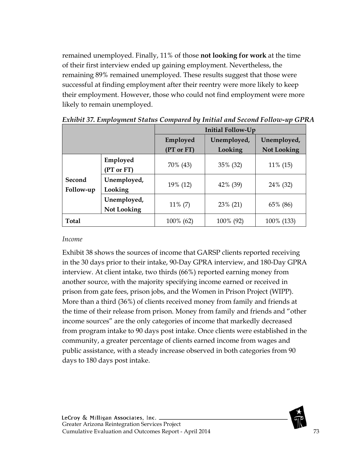remained unemployed. Finally, 11% of those **not looking for work** at the time of their first interview ended up gaining employment. Nevertheless, the remaining 89% remained unemployed. These results suggest that those were successful at finding employment after their reentry were more likely to keep their employment. However, those who could not find employment were more likely to remain unemployed.

|              |                    | Initial Follow-Up |             |                    |  |
|--------------|--------------------|-------------------|-------------|--------------------|--|
|              |                    | Employed          | Unemployed, | Unemployed,        |  |
|              |                    | (PT or FT)        | Looking     | <b>Not Looking</b> |  |
|              | Employed           |                   |             |                    |  |
|              | (PT or FT)         | 70% (43)          | 35% (32)    | 11% (15)           |  |
| Second       | Unemployed,        |                   |             |                    |  |
| Follow-up    | Looking            | 19% (12)          | 42% (39)    | 24% (32)           |  |
|              | Unemployed,        |                   |             |                    |  |
|              | <b>Not Looking</b> | $11\% (7)$        | 23% (21)    | 65% (86)           |  |
| <b>Total</b> |                    | 100% (62)         | 100% (92)   | 100% (133)         |  |

*Exhibit 37. Employment Status Compared by Initial and Second Follow-up GPRA*

#### *Income*

Exhibit 38 shows the sources of income that GARSP clients reported receiving in the 30 days prior to their intake, 90-Day GPRA interview, and 180-Day GPRA interview. At client intake, two thirds (66%) reported earning money from another source, with the majority specifying income earned or received in prison from gate fees, prison jobs, and the Women in Prison Project (WIPP). More than a third (36%) of clients received money from family and friends at the time of their release from prison. Money from family and friends and "other income sources" are the only categories of income that markedly decreased from program intake to 90 days post intake. Once clients were established in the community, a greater percentage of clients earned income from wages and public assistance, with a steady increase observed in both categories from 90 days to 180 days post intake.

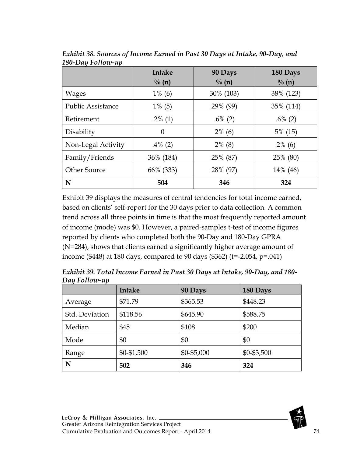|                          | Intake            | 90 Days           | 180 Days          |
|--------------------------|-------------------|-------------------|-------------------|
|                          | $\frac{0}{0}$ (n) | $\frac{0}{0}$ (n) | $\frac{0}{0}$ (n) |
| <b>Wages</b>             | $1\%$ (6)         | 30% (103)         | 38% (123)         |
| <b>Public Assistance</b> | $1\%$ (5)         | 29% (99)          | 35% (114)         |
| Retirement               | $.2\%$ (1)        | $.6\%$ (2)        | $.6\%$ (2)        |
| Disability               | $\Omega$          | $2\%$ (6)         | $5\%$ (15)        |
| Non-Legal Activity       | $.4\%$ (2)        | $2\%$ (8)         | $2\%$ (6)         |
| Family/Friends           | 36% (184)         | 25% (87)          | 25% (80)          |
| <b>Other Source</b>      | 66% (333)         | 28% (97)          | 14% (46)          |
| N                        | 504               | 346               | 324               |

*Exhibit 38. Sources of Income Earned in Past 30 Days at Intake, 90-Day, and 180-Day Follow-up*

Exhibit 39 displays the measures of central tendencies for total income earned, based on clients' self-report for the 30 days prior to data collection. A common trend across all three points in time is that the most frequently reported amount of income (mode) was \$0. However, a paired-samples t-test of income figures reported by clients who completed both the 90-Day and 180-Day GPRA (N=284), shows that clients earned a significantly higher average amount of income (\$448) at 180 days, compared to 90 days (\$362) (t=-2.054, p=.041)

*Exhibit 39. Total Income Earned in Past 30 Days at Intake, 90-Day, and 180- Day Follow-up*

|                | <b>Intake</b> | 90 Days     | 180 Days      |
|----------------|---------------|-------------|---------------|
| Average        | \$71.79       | \$365.53    | \$448.23      |
| Std. Deviation | \$118.56      | \$645.90    | \$588.75      |
| Median         | \$45          | \$108       | \$200         |
| Mode           | \$0           | \$0         | \$0           |
| Range          | \$0-\$1,500   | \$0-\$5,000 | $$0 - $3,500$ |
| N              | 502           | 346         | 324           |

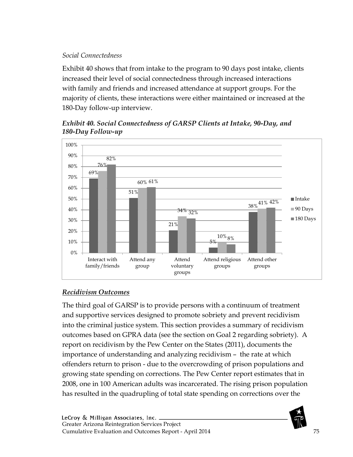#### *Social Connectedness*

Exhibit 40 shows that from intake to the program to 90 days post intake, clients increased their level of social connectedness through increased interactions with family and friends and increased attendance at support groups. For the majority of clients, these interactions were either maintained or increased at the 180-Day follow-up interview.

## *Exhibit 40. Social Connectedness of GARSP Clients at Intake, 90-Day, and 180-Day Follow-up*



## *Recidivism Outcomes*

The third goal of GARSP is to provide persons with a continuum of treatment and supportive services designed to promote sobriety and prevent recidivism into the criminal justice system. This section provides a summary of recidivism outcomes based on GPRA data (see the section on Goal 2 regarding sobriety). A report on recidivism by the Pew Center on the States (2011), documents the importance of understanding and analyzing recidivism – the rate at which offenders return to prison - due to the overcrowding of prison populations and growing state spending on corrections. The Pew Center report estimates that in 2008, one in 100 American adults was incarcerated. The rising prison population has resulted in the quadrupling of total state spending on corrections over the

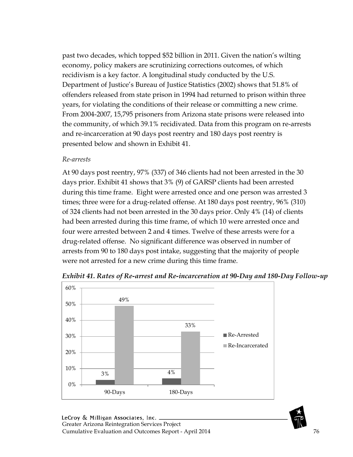past two decades, which topped \$52 billion in 2011. Given the nation's wilting economy, policy makers are scrutinizing corrections outcomes, of which recidivism is a key factor. A longitudinal study conducted by the U.S. Department of Justice's Bureau of Justice Statistics (2002) shows that 51.8% of offenders released from state prison in 1994 had returned to prison within three years, for violating the conditions of their release or committing a new crime. From 2004-2007, 15,795 prisoners from Arizona state prisons were released into the community, of which 39.1% recidivated. Data from this program on re-arrests and re-incarceration at 90 days post reentry and 180 days post reentry is presented below and shown in Exhibit 41.

#### *Re-arrests*

At 90 days post reentry, 97% (337) of 346 clients had not been arrested in the 30 days prior. Exhibit 41 shows that 3% (9) of GARSP clients had been arrested during this time frame. Eight were arrested once and one person was arrested 3 times; three were for a drug-related offense. At 180 days post reentry, 96% (310) of 324 clients had not been arrested in the 30 days prior. Only 4% (14) of clients had been arrested during this time frame, of which 10 were arrested once and four were arrested between 2 and 4 times. Twelve of these arrests were for a drug-related offense. No significant difference was observed in number of arrests from 90 to 180 days post intake, suggesting that the majority of people were not arrested for a new crime during this time frame.



*Exhibit 41. Rates of Re-arrest and Re-incarceration at 90-Day and 180-Day Follow-up*

LeCroy & Milligan Associates, Inc. \_ Greater Arizona Reintegration Services Project Cumulative Evaluation and Outcomes Report - April 2014 76

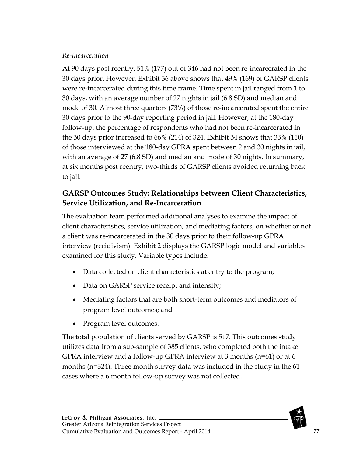#### *Re-incarceration*

At 90 days post reentry, 51% (177) out of 346 had not been re-incarcerated in the 30 days prior. However, Exhibit 36 above shows that 49% (169) of GARSP clients were re-incarcerated during this time frame. Time spent in jail ranged from 1 to 30 days, with an average number of 27 nights in jail (6.8 SD) and median and mode of 30. Almost three quarters (73%) of those re-incarcerated spent the entire 30 days prior to the 90-day reporting period in jail. However, at the 180-day follow-up, the percentage of respondents who had not been re-incarcerated in the 30 days prior increased to 66% (214) of 324. Exhibit 34 shows that 33% (110) of those interviewed at the 180-day GPRA spent between 2 and 30 nights in jail, with an average of 27 (6.8 SD) and median and mode of 30 nights. In summary, at six months post reentry, two-thirds of GARSP clients avoided returning back to jail.

# **GARSP Outcomes Study: Relationships between Client Characteristics, Service Utilization, and Re-Incarceration**

The evaluation team performed additional analyses to examine the impact of client characteristics, service utilization, and mediating factors, on whether or not a client was re-incarcerated in the 30 days prior to their follow-up GPRA interview (recidivism). Exhibit 2 displays the GARSP logic model and variables examined for this study. Variable types include:

- Data collected on client characteristics at entry to the program;
- Data on GARSP service receipt and intensity;
- Mediating factors that are both short-term outcomes and mediators of program level outcomes; and
- Program level outcomes.

The total population of clients served by GARSP is 517. This outcomes study utilizes data from a sub-sample of 385 clients, who completed both the intake GPRA interview and a follow-up GPRA interview at 3 months (n=61) or at 6 months (n=324). Three month survey data was included in the study in the 61 cases where a 6 month follow-up survey was not collected.

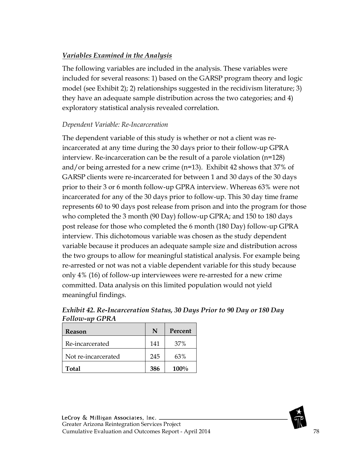## *Variables Examined in the Analysis*

The following variables are included in the analysis. These variables were included for several reasons: 1) based on the GARSP program theory and logic model (see Exhibit 2); 2) relationships suggested in the recidivism literature; 3) they have an adequate sample distribution across the two categories; and 4) exploratory statistical analysis revealed correlation.

#### *Dependent Variable: Re-Incarceration*

The dependent variable of this study is whether or not a client was reincarcerated at any time during the 30 days prior to their follow-up GPRA interview. Re-incarceration can be the result of a parole violation (n=128) and/or being arrested for a new crime (n=13). Exhibit 42 shows that 37% of GARSP clients were re-incarcerated for between 1 and 30 days of the 30 days prior to their 3 or 6 month follow-up GPRA interview. Whereas 63% were not incarcerated for any of the 30 days prior to follow-up. This 30 day time frame represents 60 to 90 days post release from prison and into the program for those who completed the 3 month (90 Day) follow-up GPRA; and 150 to 180 days post release for those who completed the 6 month (180 Day) follow-up GPRA interview. This dichotomous variable was chosen as the study dependent variable because it produces an adequate sample size and distribution across the two groups to allow for meaningful statistical analysis. For example being re-arrested or not was not a viable dependent variable for this study because only 4% (16) of follow-up interviewees were re-arrested for a new crime committed. Data analysis on this limited population would not yield meaningful findings.

| Reason              | N   | Percent |
|---------------------|-----|---------|
| Re-incarcerated     | 141 | 37%     |
| Not re-incarcerated | 245 | 63%     |
| <b>Total</b>        | 386 | 100%    |

*Exhibit 42. Re-Incarceration Status, 30 Days Prior to 90 Day or 180 Day Follow-up GPRA*

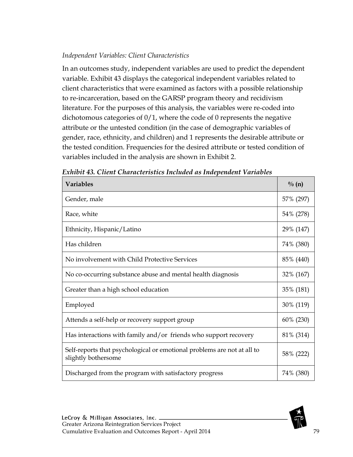#### *Independent Variables: Client Characteristics*

In an outcomes study, independent variables are used to predict the dependent variable. Exhibit 43 displays the categorical independent variables related to client characteristics that were examined as factors with a possible relationship to re-incarceration, based on the GARSP program theory and recidivism literature. For the purposes of this analysis, the variables were re-coded into dichotomous categories of 0/1, where the code of 0 represents the negative attribute or the untested condition (in the case of demographic variables of gender, race, ethnicity, and children) and 1 represents the desirable attribute or the tested condition. Frequencies for the desired attribute or tested condition of variables included in the analysis are shown in Exhibit 2.

| <b>Variables</b>                                                                               | $\frac{0}{0}$ (n) |
|------------------------------------------------------------------------------------------------|-------------------|
| Gender, male                                                                                   | 57% (297)         |
| Race, white                                                                                    | 54% (278)         |
| Ethnicity, Hispanic/Latino                                                                     | 29% (147)         |
| Has children                                                                                   | 74% (380)         |
| No involvement with Child Protective Services                                                  | 85% (440)         |
| No co-occurring substance abuse and mental health diagnosis                                    | 32% (167)         |
| Greater than a high school education                                                           | 35% (181)         |
| Employed                                                                                       | 30% (119)         |
| Attends a self-help or recovery support group                                                  | 60% (230)         |
| Has interactions with family and/or friends who support recovery                               | 81% (314)         |
| Self-reports that psychological or emotional problems are not at all to<br>slightly bothersome | 58% (222)         |
| Discharged from the program with satisfactory progress                                         | 74% (380)         |

|  | Exhibit 43. Client Characteristics Included as Independent Variables |  |  |
|--|----------------------------------------------------------------------|--|--|
|  |                                                                      |  |  |

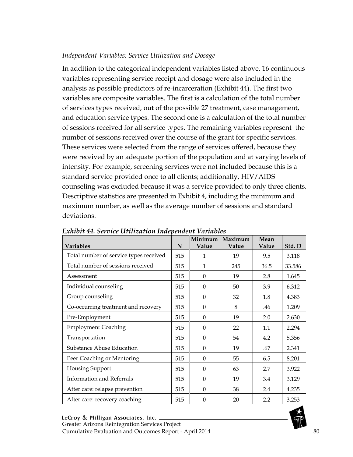#### *Independent Variables: Service Utilization and Dosage*

In addition to the categorical independent variables listed above, 16 continuous variables representing service receipt and dosage were also included in the analysis as possible predictors of re-incarceration (Exhibit 44). The first two variables are composite variables. The first is a calculation of the total number of services types received, out of the possible 27 treatment, case management, and education service types. The second one is a calculation of the total number of sessions received for all service types. The remaining variables represent the number of sessions received over the course of the grant for specific services. These services were selected from the range of services offered, because they were received by an adequate portion of the population and at varying levels of intensity. For example, screening services were not included because this is a standard service provided once to all clients; additionally, HIV/AIDS counseling was excluded because it was a service provided to only three clients. Descriptive statistics are presented in Exhibit 4, including the minimum and maximum number, as well as the average number of sessions and standard deviations.

|                                        |     | Minimum  | Maximum | Mean  |        |
|----------------------------------------|-----|----------|---------|-------|--------|
| <b>Variables</b>                       | N   | Value    | Value   | Value | Std. D |
| Total number of service types received | 515 | 1        | 19      | 9.5   | 3.118  |
| Total number of sessions received      | 515 | 1        | 245     | 36.5  | 33.586 |
| Assessment                             | 515 | $\Omega$ | 19      | 2.8   | 1.645  |
| Individual counseling                  | 515 | $\Omega$ | 50      | 3.9   | 6.312  |
| Group counseling                       | 515 | $\Omega$ | 32      | 1.8   | 4.383  |
| Co-occurring treatment and recovery    | 515 | $\theta$ | 8       | .46   | 1.209  |
| Pre-Employment                         | 515 | $\Omega$ | 19      | 2.0   | 2.630  |
| <b>Employment Coaching</b>             | 515 | $\Omega$ | 22      | 1.1   | 2.294  |
| Transportation                         | 515 | $\theta$ | 54      | 4.2   | 5.356  |
| Substance Abuse Education              | 515 | $\Omega$ | 19      | .67   | 2.341  |
| Peer Coaching or Mentoring             | 515 | $\Omega$ | 55      | 6.5   | 8.201  |
| Housing Support                        | 515 | $\Omega$ | 63      | 2.7   | 3.922  |
| Information and Referrals              | 515 | $\theta$ | 19      | 3.4   | 3.129  |
| After care: relapse prevention         | 515 | $\Omega$ | 38      | 2.4   | 4.235  |
| After care: recovery coaching          | 515 | $\Omega$ | 20      | 2.2   | 3.253  |

*Exhibit 44. Service Utilization Independent Variables*

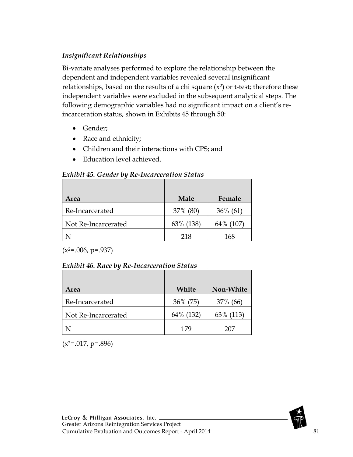## *Insignificant Relationships*

Bi-variate analyses performed to explore the relationship between the dependent and independent variables revealed several insignificant relationships, based on the results of a chi square  $(x^2)$  or t-test; therefore these independent variables were excluded in the subsequent analytical steps. The following demographic variables had no significant impact on a client's reincarceration status, shown in Exhibits 45 through 50:

- Gender;
- Race and ethnicity;
- Children and their interactions with CPS; and
- Education level achieved.

#### *Exhibit 45. Gender by Re-Incarceration Status*

| Area                | <b>Male</b> | Female      |
|---------------------|-------------|-------------|
| Re-Incarcerated     | 37% (80)    | $36\%$ (61) |
| Not Re-Incarcerated | 63% (138)   | 64% (107)   |
|                     | 218         | 168         |

 $(x^2=.006, p=.937)$ 

#### *Exhibit 46. Race by Re-Incarceration Status*

| Area                | White     | Non-White |
|---------------------|-----------|-----------|
| Re-Incarcerated     | 36% (75)  | 37% (66)  |
| Not Re-Incarcerated | 64% (132) | 63% (113) |
|                     | 179       | 207       |

 $(x^2=.017, p=.896)$ 

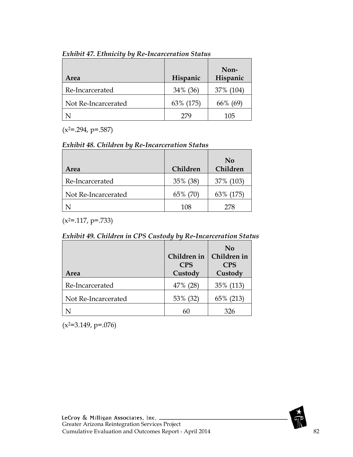| Area                | Hispanic  | Non-<br>Hispanic |
|---------------------|-----------|------------------|
| Re-Incarcerated     | 34% (36)  | 37% (104)        |
| Not Re-Incarcerated | 63% (175) | 66% (69)         |
|                     | 279       | 105              |

*Exhibit 47. Ethnicity by Re-Incarceration Status*

 $(x^2=.294, p=.587)$ 

#### *Exhibit 48. Children by Re-Incarceration Status*

| Area                | Children | No<br>Children |
|---------------------|----------|----------------|
| Re-Incarcerated     | 35% (38) | 37% (103)      |
| Not Re-Incarcerated | 65% (70) | 63% (175)      |
|                     | 108      | 278            |

 $(x^2=.117, p=.733)$ 

| Exhibit 49. Children in CPS Custody by Re-Incarceration Status |  |
|----------------------------------------------------------------|--|
|----------------------------------------------------------------|--|

| Area                | Children in<br><b>CPS</b><br>Custody | N <sub>0</sub><br>Children in<br><b>CPS</b><br>Custody |
|---------------------|--------------------------------------|--------------------------------------------------------|
| Re-Incarcerated     | 47% (28)                             | 35% (113)                                              |
| Not Re-Incarcerated | 53% (32)                             | 65% (213)                                              |
|                     |                                      | 326                                                    |

 $(x^2=3.149, p=.076)$ 

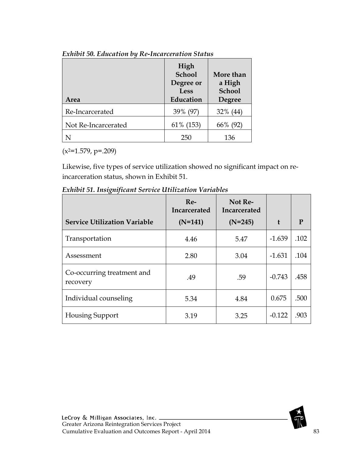| Area                | High<br><b>School</b><br>Degree or<br>Less<br>Education | More than<br>a High<br><b>School</b><br><b>Degree</b> |
|---------------------|---------------------------------------------------------|-------------------------------------------------------|
| Re-Incarcerated     | 39% (97)                                                | $32\%$ (44)                                           |
| Not Re-Incarcerated | 61% (153)                                               | 66% (92)                                              |
|                     | 250                                                     | 136                                                   |

#### *Exhibit 50. Education by Re-Incarceration Status*

 $(x^{2}=1.579, p=.209)$ 

Likewise, five types of service utilization showed no significant impact on reincarceration status, shown in Exhibit 51.

*Exhibit 51. Insignificant Service Utilization Variables*

| <b>Service Utilization Variable</b>    | $Re-$<br>Incarcerated<br>$(N=141)$ | Not Re-<br>Incarcerated<br>$(N=245)$ | $\mathbf{f}$ | P    |
|----------------------------------------|------------------------------------|--------------------------------------|--------------|------|
| Transportation                         | 4.46                               | 5.47                                 | $-1.639$     | .102 |
| Assessment                             | 2.80                               | 3.04                                 | $-1.631$     | .104 |
| Co-occurring treatment and<br>recovery | .49                                | .59                                  | $-0.743$     | .458 |
| Individual counseling                  | 5.34                               | 4.84                                 | 0.675        | .500 |
| <b>Housing Support</b>                 | 3.19                               | 3.25                                 | $-0.122$     | .903 |

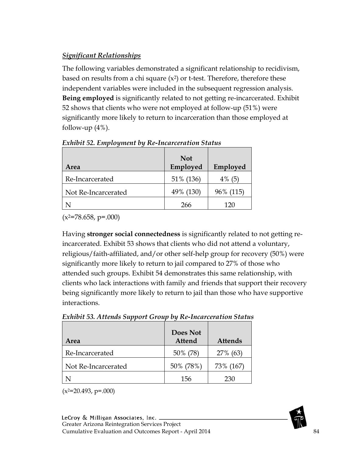## *Significant Relationships*

The following variables demonstrated a significant relationship to recidivism, based on results from a chi square  $(x^2)$  or t-test. Therefore, therefore these independent variables were included in the subsequent regression analysis. **Being employed** is significantly related to not getting re-incarcerated. Exhibit 52 shows that clients who were not employed at follow-up (51%) were significantly more likely to return to incarceration than those employed at follow-up  $(4\%)$ .

| Area                | <b>Not</b><br>Employed | Employed  |
|---------------------|------------------------|-----------|
| Re-Incarcerated     | 51% (136)              | $4\%$ (5) |
| Not Re-Incarcerated | 49% (130)              | 96% (115) |
|                     | 266                    | 120       |

*Exhibit 52. Employment by Re-Incarceration Status*

 $(x^2=78.658, p=.000)$ 

Having **stronger social connectedness** is significantly related to not getting reincarcerated. Exhibit 53 shows that clients who did not attend a voluntary, religious/faith-affiliated, and/or other self-help group for recovery (50%) were significantly more likely to return to jail compared to 27% of those who attended such groups. Exhibit 54 demonstrates this same relationship, with clients who lack interactions with family and friends that support their recovery being significantly more likely to return to jail than those who have supportive interactions.

| <b>Exhibit 53. Attends Support Group by Re-Incarceration Status</b> |  |  |
|---------------------------------------------------------------------|--|--|
|                                                                     |  |  |

| Area                | Does Not<br><b>Attend</b> | <b>Attends</b> |
|---------------------|---------------------------|----------------|
| Re-Incarcerated     | 50% (78)                  | 27% (63)       |
| Not Re-Incarcerated | 50% (78%)                 | 73% (167)      |
|                     | 156                       | ን3በ            |

 $(x^2=20.493, p=.000)$ 

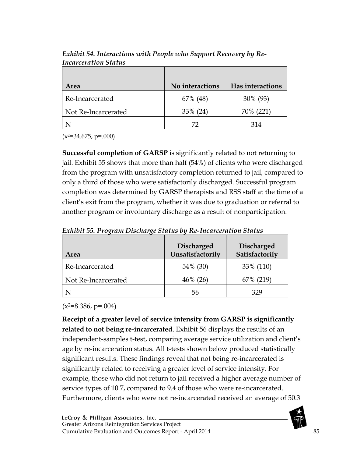| Area                | No interactions | <b>Has interactions</b> |
|---------------------|-----------------|-------------------------|
| Re-Incarcerated     | 67\% (48)       | 30% (93)                |
| Not Re-Incarcerated | 33% (24)        | 70% (221)               |
|                     | 77              | 314                     |

*Exhibit 54. Interactions with People who Support Recovery by Re-Incarceration Status*

 $(x^{2}=34.675, p=.000)$ 

**Successful completion of GARSP** is significantly related to not returning to jail. Exhibit 55 shows that more than half (54%) of clients who were discharged from the program with unsatisfactory completion returned to jail, compared to only a third of those who were satisfactorily discharged. Successful program completion was determined by GARSP therapists and RSS staff at the time of a client's exit from the program, whether it was due to graduation or referral to another program or involuntary discharge as a result of nonparticipation.

| Area                | <b>Discharged</b><br>Unsatisfactorily | <b>Discharged</b><br>Satisfactorily |
|---------------------|---------------------------------------|-------------------------------------|
| Re-Incarcerated     | 54% (30)                              | 33% (110)                           |
| Not Re-Incarcerated | $46\%$ (26)                           | 67% (219)                           |
|                     | 56                                    | 329                                 |

*Exhibit 55. Program Discharge Status by Re-Incarceration Status*

 $(x^2=8.386, p=.004)$ 

**Receipt of a greater level of service intensity from GARSP is significantly related to not being re-incarcerated**. Exhibit 56 displays the results of an independent-samples t-test, comparing average service utilization and client's age by re-incarceration status. All t-tests shown below produced statistically significant results. These findings reveal that not being re-incarcerated is significantly related to receiving a greater level of service intensity. For example, those who did not return to jail received a higher average number of service types of 10.7, compared to 9.4 of those who were re-incarcerated. Furthermore, clients who were not re-incarcerated received an average of 50.3

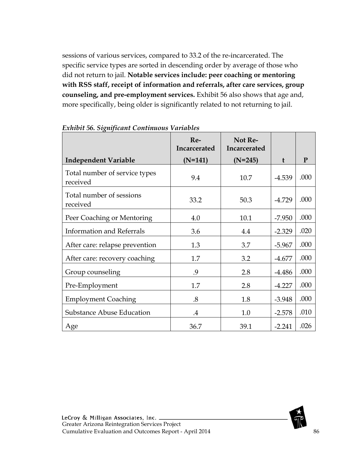sessions of various services, compared to 33.2 of the re-incarcerated. The specific service types are sorted in descending order by average of those who did not return to jail. **Notable services include: peer coaching or mentoring with RSS staff, receipt of information and referrals, after care services, group counseling, and pre-employment services.** Exhibit 56 also shows that age and, more specifically, being older is significantly related to not returning to jail.

|                                           | Re-<br>Incarcerated | Not Re-<br>Incarcerated |          |      |
|-------------------------------------------|---------------------|-------------------------|----------|------|
| <b>Independent Variable</b>               | $(N=141)$           | $(N=245)$               | t        | P    |
| Total number of service types<br>received | 9.4                 | 10.7                    | $-4.539$ | .000 |
| Total number of sessions<br>received      | 33.2                | 50.3                    | $-4.729$ | .000 |
| Peer Coaching or Mentoring                | 4.0                 | 10.1                    | $-7.950$ | .000 |
| <b>Information and Referrals</b>          | 3.6                 | 4.4                     | $-2.329$ | .020 |
| After care: relapse prevention            | 1.3                 | 3.7                     | $-5.967$ | .000 |
| After care: recovery coaching             | 1.7                 | 3.2                     | $-4.677$ | .000 |
| Group counseling                          | .9                  | 2.8                     | $-4.486$ | .000 |
| Pre-Employment                            | 1.7                 | 2.8                     | $-4.227$ | .000 |
| <b>Employment Coaching</b>                | .8                  | 1.8                     | $-3.948$ | .000 |
| <b>Substance Abuse Education</b>          | $\cdot$             | 1.0                     | $-2.578$ | .010 |
| Age                                       | 36.7                | 39.1                    | $-2.241$ | .026 |

*Exhibit 56. Significant Continuous Variables*

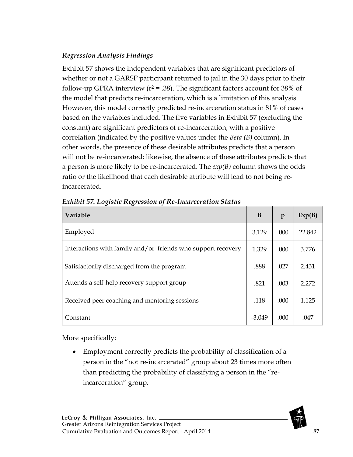## *Regression Analysis Findings*

Exhibit 57 shows the independent variables that are significant predictors of whether or not a GARSP participant returned to jail in the 30 days prior to their follow-up GPRA interview ( $r^2$  = .38). The significant factors account for 38% of the model that predicts re-incarceration, which is a limitation of this analysis. However, this model correctly predicted re-incarceration status in 81% of cases based on the variables included. The five variables in Exhibit 57 (excluding the constant) are significant predictors of re-incarceration, with a positive correlation (indicated by the positive values under the *Beta (B)* column). In other words, the presence of these desirable attributes predicts that a person will not be re-incarcerated; likewise, the absence of these attributes predicts that a person is more likely to be re-incarcerated. The *exp(B)* column shows the odds ratio or the likelihood that each desirable attribute will lead to not being reincarcerated.

| <b>Variable</b>                                              | B        | $\mathbf{p}$ | Exp(B) |
|--------------------------------------------------------------|----------|--------------|--------|
| Employed                                                     | 3.129    | .000         | 22.842 |
| Interactions with family and/or friends who support recovery | 1.329    | .000         | 3.776  |
| Satisfactorily discharged from the program                   | .888     | .027         | 2.431  |
| Attends a self-help recovery support group                   | .821     | .003         | 2.272  |
| Received peer coaching and mentoring sessions                | .118     | .000         | 1.125  |
| Constant                                                     | $-3.049$ | .000         | .047   |

*Exhibit 57. Logistic Regression of Re-Incarceration Status*

More specifically:

• Employment correctly predicts the probability of classification of a person in the "not re-incarcerated" group about 23 times more often than predicting the probability of classifying a person in the "reincarceration" group.

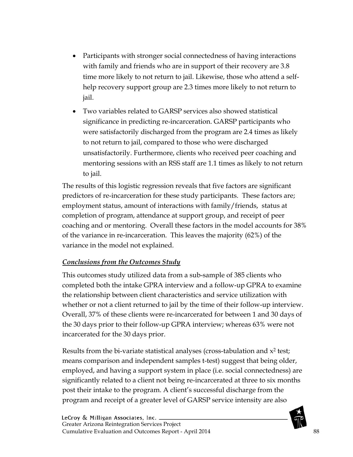- Participants with stronger social connectedness of having interactions with family and friends who are in support of their recovery are 3.8 time more likely to not return to jail. Likewise, those who attend a selfhelp recovery support group are 2.3 times more likely to not return to jail.
- Two variables related to GARSP services also showed statistical significance in predicting re-incarceration. GARSP participants who were satisfactorily discharged from the program are 2.4 times as likely to not return to jail, compared to those who were discharged unsatisfactorily. Furthermore, clients who received peer coaching and mentoring sessions with an RSS staff are 1.1 times as likely to not return to jail.

The results of this logistic regression reveals that five factors are significant predictors of re-incarceration for these study participants. These factors are; employment status, amount of interactions with family/friends, status at completion of program, attendance at support group, and receipt of peer coaching and or mentoring. Overall these factors in the model accounts for 38% of the variance in re-incarceration. This leaves the majority (62%) of the variance in the model not explained.

#### *Conclusions from the Outcomes Study*

This outcomes study utilized data from a sub-sample of 385 clients who completed both the intake GPRA interview and a follow-up GPRA to examine the relationship between client characteristics and service utilization with whether or not a client returned to jail by the time of their follow-up interview. Overall, 37% of these clients were re-incarcerated for between 1 and 30 days of the 30 days prior to their follow-up GPRA interview; whereas 63% were not incarcerated for the 30 days prior.

Results from the bi-variate statistical analyses (cross-tabulation and  $x^2$  test; means comparison and independent samples t-test) suggest that being older, employed, and having a support system in place (i.e. social connectedness) are significantly related to a client not being re-incarcerated at three to six months post their intake to the program. A client's successful discharge from the program and receipt of a greater level of GARSP service intensity are also

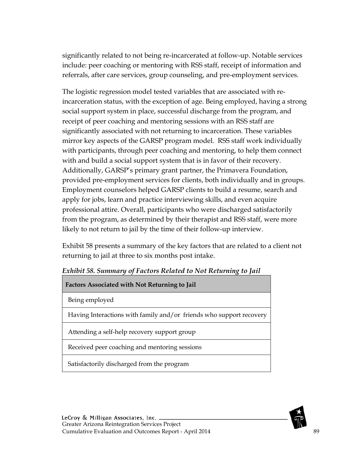significantly related to not being re-incarcerated at follow-up. Notable services include: peer coaching or mentoring with RSS staff, receipt of information and referrals, after care services, group counseling, and pre-employment services.

The logistic regression model tested variables that are associated with reincarceration status, with the exception of age. Being employed, having a strong social support system in place, successful discharge from the program, and receipt of peer coaching and mentoring sessions with an RSS staff are significantly associated with not returning to incarceration. These variables mirror key aspects of the GARSP program model. RSS staff work individually with participants, through peer coaching and mentoring, to help them connect with and build a social support system that is in favor of their recovery. Additionally, GARSP's primary grant partner, the Primavera Foundation, provided pre-employment services for clients, both individually and in groups. Employment counselors helped GARSP clients to build a resume, search and apply for jobs, learn and practice interviewing skills, and even acquire professional attire. Overall, participants who were discharged satisfactorily from the program, as determined by their therapist and RSS staff, were more likely to not return to jail by the time of their follow-up interview.

Exhibit 58 presents a summary of the key factors that are related to a client not returning to jail at three to six months post intake.

| <b>Factors Associated with Not Returning to Jail</b>                |
|---------------------------------------------------------------------|
| Being employed                                                      |
| Having Interactions with family and/or friends who support recovery |
| Attending a self-help recovery support group                        |
| Received peer coaching and mentoring sessions                       |
| Satisfactorily discharged from the program                          |

*Exhibit 58. Summary of Factors Related to Not Returning to Jail*

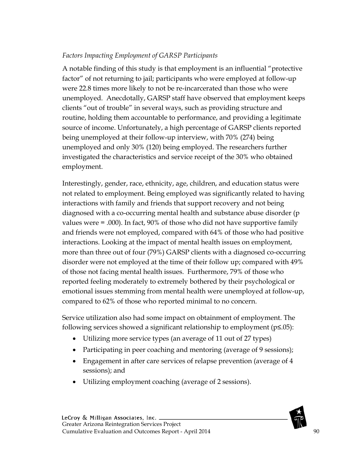#### *Factors Impacting Employment of GARSP Participants*

A notable finding of this study is that employment is an influential "protective factor" of not returning to jail; participants who were employed at follow-up were 22.8 times more likely to not be re-incarcerated than those who were unemployed. Anecdotally, GARSP staff have observed that employment keeps clients "out of trouble" in several ways, such as providing structure and routine, holding them accountable to performance, and providing a legitimate source of income. Unfortunately, a high percentage of GARSP clients reported being unemployed at their follow-up interview, with 70% (274) being unemployed and only 30% (120) being employed. The researchers further investigated the characteristics and service receipt of the 30% who obtained employment.

Interestingly, gender, race, ethnicity, age, children, and education status were not related to employment. Being employed was significantly related to having interactions with family and friends that support recovery and not being diagnosed with a co-occurring mental health and substance abuse disorder (p values were = .000). In fact, 90% of those who did not have supportive family and friends were not employed, compared with 64% of those who had positive interactions. Looking at the impact of mental health issues on employment, more than three out of four (79%) GARSP clients with a diagnosed co-occurring disorder were not employed at the time of their follow up; compared with 49% of those not facing mental health issues. Furthermore, 79% of those who reported feeling moderately to extremely bothered by their psychological or emotional issues stemming from mental health were unemployed at follow-up, compared to 62% of those who reported minimal to no concern.

Service utilization also had some impact on obtainment of employment. The following services showed a significant relationship to employment (p≤.05):

- Utilizing more service types (an average of 11 out of 27 types)
- Participating in peer coaching and mentoring (average of 9 sessions);
- Engagement in after care services of relapse prevention (average of 4 sessions); and
- Utilizing employment coaching (average of 2 sessions).

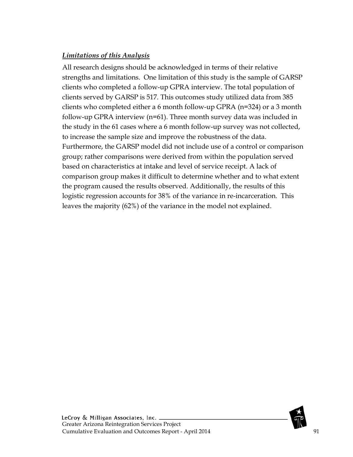#### *Limitations of this Analysis*

All research designs should be acknowledged in terms of their relative strengths and limitations. One limitation of this study is the sample of GARSP clients who completed a follow-up GPRA interview. The total population of clients served by GARSP is 517. This outcomes study utilized data from 385 clients who completed either a 6 month follow-up GPRA (n=324) or a 3 month follow-up GPRA interview (n=61). Three month survey data was included in the study in the 61 cases where a 6 month follow-up survey was not collected, to increase the sample size and improve the robustness of the data. Furthermore, the GARSP model did not include use of a control or comparison group; rather comparisons were derived from within the population served based on characteristics at intake and level of service receipt. A lack of comparison group makes it difficult to determine whether and to what extent the program caused the results observed. Additionally, the results of this logistic regression accounts for 38% of the variance in re-incarceration. This leaves the majority (62%) of the variance in the model not explained.

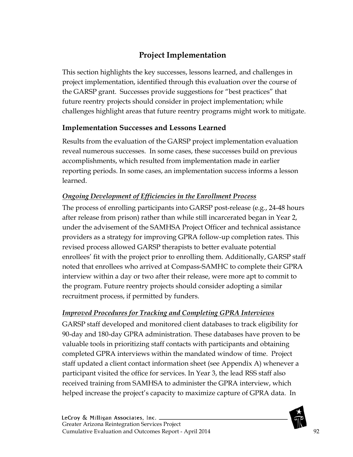# **Project Implementation**

This section highlights the key successes, lessons learned, and challenges in project implementation, identified through this evaluation over the course of the GARSP grant. Successes provide suggestions for "best practices" that future reentry projects should consider in project implementation; while challenges highlight areas that future reentry programs might work to mitigate.

## **Implementation Successes and Lessons Learned**

Results from the evaluation of the GARSP project implementation evaluation reveal numerous successes. In some cases, these successes build on previous accomplishments, which resulted from implementation made in earlier reporting periods. In some cases, an implementation success informs a lesson learned.

## *Ongoing Development of Efficiencies in the Enrollment Process*

The process of enrolling participants into GARSP post-release (e.g., 24-48 hours after release from prison) rather than while still incarcerated began in Year 2, under the advisement of the SAMHSA Project Officer and technical assistance providers as a strategy for improving GPRA follow-up completion rates. This revised process allowed GARSP therapists to better evaluate potential enrollees' fit with the project prior to enrolling them. Additionally, GARSP staff noted that enrollees who arrived at Compass-SAMHC to complete their GPRA interview within a day or two after their release, were more apt to commit to the program. Future reentry projects should consider adopting a similar recruitment process, if permitted by funders.

#### *Improved Procedures for Tracking and Completing GPRA Interviews*

GARSP staff developed and monitored client databases to track eligibility for 90-day and 180-day GPRA administration. These databases have proven to be valuable tools in prioritizing staff contacts with participants and obtaining completed GPRA interviews within the mandated window of time. Project staff updated a client contact information sheet (see Appendix A) whenever a participant visited the office for services. In Year 3, the lead RSS staff also received training from SAMHSA to administer the GPRA interview, which helped increase the project's capacity to maximize capture of GPRA data. In

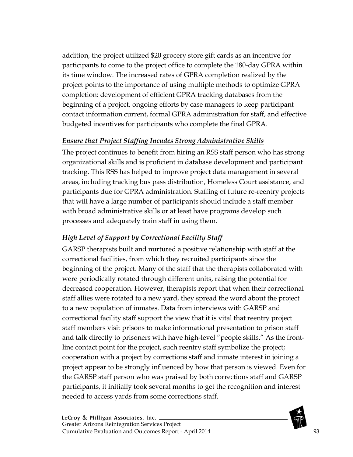addition, the project utilized \$20 grocery store gift cards as an incentive for participants to come to the project office to complete the 180-day GPRA within its time window. The increased rates of GPRA completion realized by the project points to the importance of using multiple methods to optimize GPRA completion: development of efficient GPRA tracking databases from the beginning of a project, ongoing efforts by case managers to keep participant contact information current, formal GPRA administration for staff, and effective budgeted incentives for participants who complete the final GPRA.

## *Ensure that Project Staffing Incudes Strong Administrative Skills*

The project continues to benefit from hiring an RSS staff person who has strong organizational skills and is proficient in database development and participant tracking. This RSS has helped to improve project data management in several areas, including tracking bus pass distribution, Homeless Court assistance, and participants due for GPRA administration. Staffing of future re-reentry projects that will have a large number of participants should include a staff member with broad administrative skills or at least have programs develop such processes and adequately train staff in using them.

# *High Level of Support by Correctional Facility Staff*

GARSP therapists built and nurtured a positive relationship with staff at the correctional facilities, from which they recruited participants since the beginning of the project. Many of the staff that the therapists collaborated with were periodically rotated through different units, raising the potential for decreased cooperation. However, therapists report that when their correctional staff allies were rotated to a new yard, they spread the word about the project to a new population of inmates. Data from interviews with GARSP and correctional facility staff support the view that it is vital that reentry project staff members visit prisons to make informational presentation to prison staff and talk directly to prisoners with have high-level "people skills." As the frontline contact point for the project, such reentry staff symbolize the project; cooperation with a project by corrections staff and inmate interest in joining a project appear to be strongly influenced by how that person is viewed. Even for the GARSP staff person who was praised by both corrections staff and GARSP participants, it initially took several months to get the recognition and interest needed to access yards from some corrections staff.

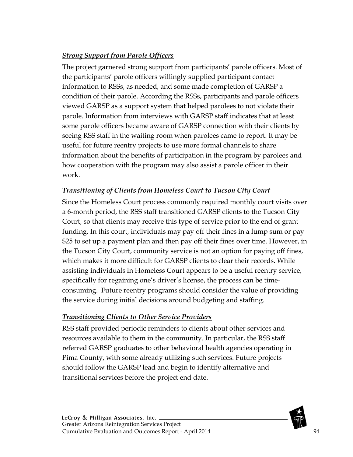## *Strong Support from Parole Officers*

The project garnered strong support from participants' parole officers. Most of the participants' parole officers willingly supplied participant contact information to RSSs, as needed, and some made completion of GARSP a condition of their parole. According the RSSs, participants and parole officers viewed GARSP as a support system that helped parolees to not violate their parole. Information from interviews with GARSP staff indicates that at least some parole officers became aware of GARSP connection with their clients by seeing RSS staff in the waiting room when parolees came to report. It may be useful for future reentry projects to use more formal channels to share information about the benefits of participation in the program by parolees and how cooperation with the program may also assist a parole officer in their work.

## *Transitioning of Clients from Homeless Court to Tucson City Court*

Since the Homeless Court process commonly required monthly court visits over a 6-month period, the RSS staff transitioned GARSP clients to the Tucson City Court, so that clients may receive this type of service prior to the end of grant funding. In this court, individuals may pay off their fines in a lump sum or pay \$25 to set up a payment plan and then pay off their fines over time. However, in the Tucson City Court, community service is not an option for paying off fines, which makes it more difficult for GARSP clients to clear their records. While assisting individuals in Homeless Court appears to be a useful reentry service, specifically for regaining one's driver's license, the process can be timeconsuming. Future reentry programs should consider the value of providing the service during initial decisions around budgeting and staffing.

## *Transitioning Clients to Other Service Providers*

RSS staff provided periodic reminders to clients about other services and resources available to them in the community. In particular, the RSS staff referred GARSP graduates to other behavioral health agencies operating in Pima County, with some already utilizing such services. Future projects should follow the GARSP lead and begin to identify alternative and transitional services before the project end date.

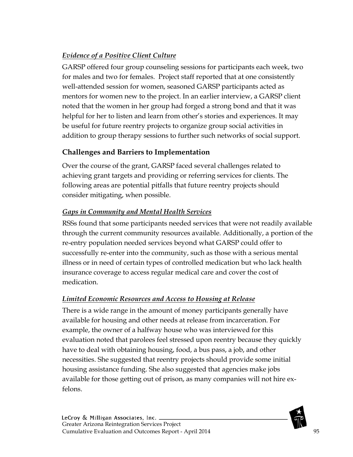# *Evidence of a Positive Client Culture*

GARSP offered four group counseling sessions for participants each week, two for males and two for females. Project staff reported that at one consistently well-attended session for women, seasoned GARSP participants acted as mentors for women new to the project. In an earlier interview, a GARSP client noted that the women in her group had forged a strong bond and that it was helpful for her to listen and learn from other's stories and experiences. It may be useful for future reentry projects to organize group social activities in addition to group therapy sessions to further such networks of social support.

# **Challenges and Barriers to Implementation**

Over the course of the grant, GARSP faced several challenges related to achieving grant targets and providing or referring services for clients. The following areas are potential pitfalls that future reentry projects should consider mitigating, when possible.

## *Gaps in Community and Mental Health Services*

RSSs found that some participants needed services that were not readily available through the current community resources available. Additionally, a portion of the re-entry population needed services beyond what GARSP could offer to successfully re-enter into the community, such as those with a serious mental illness or in need of certain types of controlled medication but who lack health insurance coverage to access regular medical care and cover the cost of medication.

## *Limited Economic Resources and Access to Housing at Release*

There is a wide range in the amount of money participants generally have available for housing and other needs at release from incarceration. For example, the owner of a halfway house who was interviewed for this evaluation noted that parolees feel stressed upon reentry because they quickly have to deal with obtaining housing, food, a bus pass, a job, and other necessities. She suggested that reentry projects should provide some initial housing assistance funding. She also suggested that agencies make jobs available for those getting out of prison, as many companies will not hire exfelons.

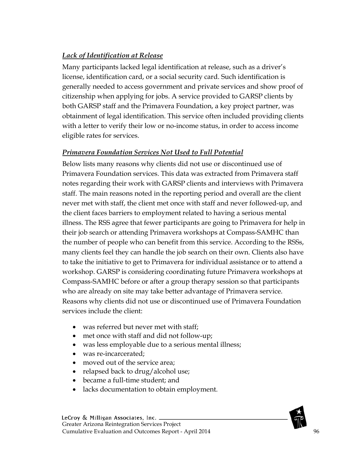## *Lack of Identification at Release*

Many participants lacked legal identification at release, such as a driver's license, identification card, or a social security card. Such identification is generally needed to access government and private services and show proof of citizenship when applying for jobs. A service provided to GARSP clients by both GARSP staff and the Primavera Foundation, a key project partner, was obtainment of legal identification. This service often included providing clients with a letter to verify their low or no-income status, in order to access income eligible rates for services.

#### *Primavera Foundation Services Not Used to Full Potential*

Below lists many reasons why clients did not use or discontinued use of Primavera Foundation services. This data was extracted from Primavera staff notes regarding their work with GARSP clients and interviews with Primavera staff. The main reasons noted in the reporting period and overall are the client never met with staff, the client met once with staff and never followed-up, and the client faces barriers to employment related to having a serious mental illness. The RSS agree that fewer participants are going to Primavera for help in their job search or attending Primavera workshops at Compass-SAMHC than the number of people who can benefit from this service. According to the RSSs, many clients feel they can handle the job search on their own. Clients also have to take the initiative to get to Primavera for individual assistance or to attend a workshop. GARSP is considering coordinating future Primavera workshops at Compass-SAMHC before or after a group therapy session so that participants who are already on site may take better advantage of Primavera service. Reasons why clients did not use or discontinued use of Primavera Foundation services include the client:

- was referred but never met with staff;
- met once with staff and did not follow-up;
- was less employable due to a serious mental illness;
- was re-incarcerated:
- moved out of the service area;
- relapsed back to drug/alcohol use;
- became a full-time student; and
- lacks documentation to obtain employment.

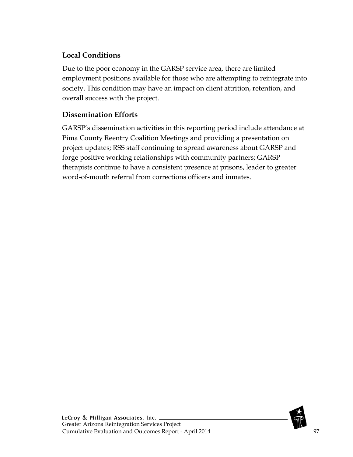## **Local Conditions**

Due to the poor economy in the GARSP service area, there are limited employment positions available for those who are attempting to reinte**g**rate into society. This condition may have an impact on client attrition, retention, and overall success with the project.

## **Dissemination Efforts**

GARSP's dissemination activities in this reporting period include attendance at Pima County Reentry Coalition Meetings and providing a presentation on project updates; RSS staff continuing to spread awareness about GARSP and forge positive working relationships with community partners; GARSP therapists continue to have a consistent presence at prisons, leader to greater word-of-mouth referral from corrections officers and inmates.

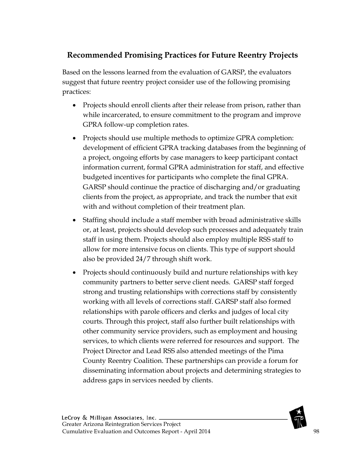# **Recommended Promising Practices for Future Reentry Projects**

Based on the lessons learned from the evaluation of GARSP, the evaluators suggest that future reentry project consider use of the following promising practices:

- Projects should enroll clients after their release from prison, rather than while incarcerated, to ensure commitment to the program and improve GPRA follow-up completion rates.
- Projects should use multiple methods to optimize GPRA completion: development of efficient GPRA tracking databases from the beginning of a project, ongoing efforts by case managers to keep participant contact information current, formal GPRA administration for staff, and effective budgeted incentives for participants who complete the final GPRA. GARSP should continue the practice of discharging and/or graduating clients from the project, as appropriate, and track the number that exit with and without completion of their treatment plan.
- Staffing should include a staff member with broad administrative skills or, at least, projects should develop such processes and adequately train staff in using them. Projects should also employ multiple RSS staff to allow for more intensive focus on clients. This type of support should also be provided 24/7 through shift work.
- Projects should continuously build and nurture relationships with key community partners to better serve client needs. GARSP staff forged strong and trusting relationships with corrections staff by consistently working with all levels of corrections staff. GARSP staff also formed relationships with parole officers and clerks and judges of local city courts. Through this project, staff also further built relationships with other community service providers, such as employment and housing services, to which clients were referred for resources and support. The Project Director and Lead RSS also attended meetings of the Pima County Reentry Coalition. These partnerships can provide a forum for disseminating information about projects and determining strategies to address gaps in services needed by clients.

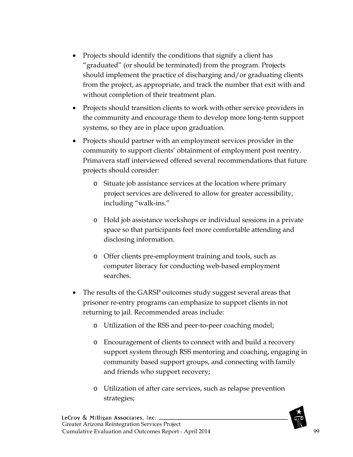- Projects should identify the conditions that signify a client has "graduated" (or should be terminated) from the program. Projects should implement the practice of discharging and/or graduating clients from the project, as appropriate, and track the number that exit with and without completion of their treatment plan.
- Projects should transition clients to work with other service providers in the community and encourage them to develop more long-term support systems, so they are in place upon graduation.
- Projects should partner with an employment services provider in the community to support clients' obtainment of employment post reentry. Primavera staff interviewed offered several recommendations that future projects should consider:
	- o Situate job assistance services at the location where primary project services are delivered to allow for greater accessibility, including "walk-ins."
	- o Hold job assistance workshops or individual sessions in a private space so that participants feel more comfortable attending and disclosing information.
	- o Offer clients pre-employment training and tools, such as computer literacy for conducting web-based employment searches.
- The results of the GARSP outcomes study suggest several areas that prisoner re-entry programs can emphasize to support clients in not returning to jail. Recommended areas include:
	- o Utilization of the RSS and peer-to-peer coaching model;
	- o Encouragement of clients to connect with and build a recovery support system through RSS mentoring and coaching, engaging in community based support groups, and connecting with family and friends who support recovery;
	- o Utilization of after care services, such as relapse prevention strategies;

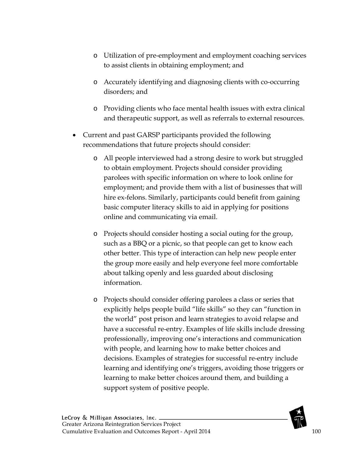- o Utilization of pre-employment and employment coaching services to assist clients in obtaining employment; and
- o Accurately identifying and diagnosing clients with co-occurring disorders; and
- o Providing clients who face mental health issues with extra clinical and therapeutic support, as well as referrals to external resources.
- Current and past GARSP participants provided the following recommendations that future projects should consider:
	- o All people interviewed had a strong desire to work but struggled to obtain employment. Projects should consider providing parolees with specific information on where to look online for employment; and provide them with a list of businesses that will hire ex-felons. Similarly, participants could benefit from gaining basic computer literacy skills to aid in applying for positions online and communicating via email.
	- o Projects should consider hosting a social outing for the group, such as a BBQ or a picnic, so that people can get to know each other better. This type of interaction can help new people enter the group more easily and help everyone feel more comfortable about talking openly and less guarded about disclosing information.
	- o Projects should consider offering parolees a class or series that explicitly helps people build "life skills" so they can "function in the world" post prison and learn strategies to avoid relapse and have a successful re-entry. Examples of life skills include dressing professionally, improving one's interactions and communication with people, and learning how to make better choices and decisions. Examples of strategies for successful re-entry include learning and identifying one's triggers, avoiding those triggers or learning to make better choices around them, and building a support system of positive people.

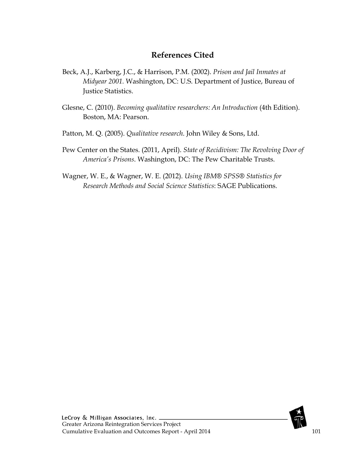## **References Cited**

- Beck, A.J., Karberg, J.C., & Harrison, P.M. (2002). *Prison and Jail Inmates at Midyear 2001.* Washington, DC: U.S. Department of Justice, Bureau of Justice Statistics.
- Glesne, C. (2010). *Becoming qualitative researchers: An Introduction* (4th Edition). Boston, MA: Pearson.
- Patton, M. Q. (2005). *Qualitative research*. John Wiley & Sons, Ltd.
- Pew Center on the States. (2011, April). *State of Recidivism: The Revolving Door of America's Prisons*. Washington, DC: The Pew Charitable Trusts.
- Wagner, W. E., & Wagner, W. E. (2012). *Using IBM® SPSS® Statistics for Research Methods and Social Science Statistics*: SAGE Publications.